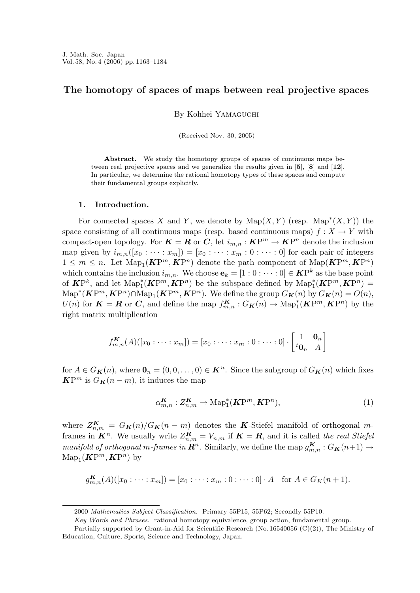## The homotopy of spaces of maps between real projective spaces

By Kohhei Yamaguchi

(Received Nov. 30, 2005)

Abstract. We study the homotopy groups of spaces of continuous maps between real projective spaces and we generalize the results given in [5], [8] and [12]. In particular, we determine the rational homotopy types of these spaces and compute their fundamental groups explicitly.

## 1. Introduction.

For connected spaces X and Y, we denote by  $\mathrm{Map}(X, Y)$  (resp.  $\mathrm{Map}^*(X, Y)$ ) the space consisting of all continuous maps (resp. based continuous maps)  $f : X \to Y$  with compact-open topology. For  $K = R$  or C, let  $i_{m,n} : K^{m} \to K^{m}$  denote the inclusion map given by  $i_{m,n}([x_0: \cdots : x_m]) = [x_0: \cdots : x_m: 0: \cdots: 0]$  for each pair of integers  $1 \leq m \leq n$ . Let  $\text{Map}_1(\mathbf{K}P^m, \mathbf{K}P^n)$  denote the path component of  $\text{Map}(\mathbf{K}P^m, \mathbf{K}P^n)$ which contains the inclusion  $i_{m,n}$ . We choose  $e_k = [1:0:\cdots:0] \in \mathbf{KP}^k$  as the base point of  $\mathbf{K}P^k$ , and let  $\mathrm{Map}_1^*(\mathbf{K}P^m, \mathbf{K}P^n)$  be the subspace defined by  $\mathrm{Map}_1^*(\mathbf{K}P^m, \mathbf{K}P^n)$  =  $\mathrm{Map}^*(\mathbf{K}\mathrm{P}^m,\mathbf{K}\mathrm{P}^n) \cap \mathrm{Map}_1(\mathbf{K}\mathrm{P}^m,\mathbf{K}\mathrm{P}^n)$ . We define the group  $G_{\mathbf{K}}(n)$  by  $G_{\mathbf{K}}(n) = O(n)$ ,  $U(n)$  for  $\mathbf{K} = \mathbf{R}$  or  $\mathbf{C}$ , and define the map  $f_{m,n}^{\mathbf{K}} : G_{\mathbf{K}}(n) \to \text{Map}_1^*(\mathbf{K}P^m, \mathbf{K}P^n)$  by the right matrix multiplication

$$
f_{m,n}^{K}(A)([x_0:\cdots:x_m])=[x_0:\cdots:x_m:0:\cdots:0]\cdot\begin{bmatrix}1&\mathbf{0}_n\\{}^t\mathbf{0}_n&A\end{bmatrix}
$$

for  $A \in G_K(n)$ , where  $\mathbf{0}_n = (0, 0, \dots, 0) \in \mathbf{K}^n$ . Since the subgroup of  $G_K(n)$  which fixes  $\mathbf{K} \mathbf{P}^m$  is  $G_{\mathbf{K}}(n-m)$ , it induces the map

$$
\alpha_{m,n}^{\mathbf{K}} : Z_{n,m}^{\mathbf{K}} \to \mathrm{Map}_1^*(\mathbf{K}P^m, \mathbf{K}P^n),\tag{1}
$$

where  $Z_{n,m}^{\mathbf{K}} = G_{\mathbf{K}}(n)/G_{\mathbf{K}}(n-m)$  denotes the K-Stiefel manifold of orthogonal mframes in  $\mathbf{K}^n$ . We usually write  $Z_{n,m}^{\mathbf{R}} = V_{n,m}$  if  $\mathbf{K} = \mathbf{R}$ , and it is called the real Stiefel manifold of orthogonal m-frames in  $\mathbf{R}^n$ . Similarly, we define the map  $g_{m,n}^{\mathbf{K}}:G_{\mathbf{K}}(n+1)\to$  $\mathrm{Map}_1(\mathbf{K}\mathrm{P}^m,\mathbf{K}\mathrm{P}^n)$  by

$$
g_{m,n}^{K}(A)([x_0:\dots:x_m]) = [x_0:\dots:x_m:0:\dots:0]\cdot A \text{ for } A \in G_K(n+1).
$$

<sup>2000</sup> Mathematics Subject Classification. Primary 55P15, 55P62; Secondly 55P10.

Key Words and Phrases. rational homotopy equivalence, group action, fundamental group.

Partially supported by Grant-in-Aid for Scientific Research (No. 16540056 (C)(2)), The Ministry of Education, Culture, Sports, Science and Technology, Japan.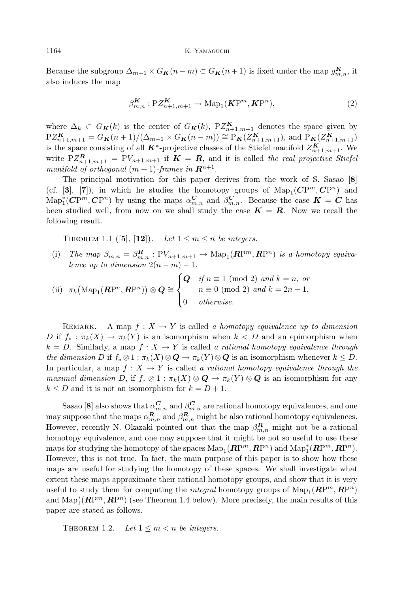### 1164 K. YAMAGUCHI

Because the subgroup  $\Delta_{m+1} \times G_{\mathbf{K}}(n-m) \subset G_{\mathbf{K}}(n+1)$  is fixed under the map  $g_{m,n}^{\mathbf{K}}$ , it also induces the map

$$
\beta_{m,n}^{\mathbf{K}} : P Z_{n+1,m+1}^{\mathbf{K}} \to \mathrm{Map}_1(\mathbf{K}P^m, \mathbf{K}P^n),\tag{2}
$$

where  $\Delta_k \subset G_K(k)$  is the center of  $G_K(k)$ ,  $PZ_{n+1,m+1}^K$  denotes the space given by  $PZ_{n+1,m+1}^{\mathbf{K}} = G_{\mathbf{K}}(n+1)/(\Delta_{m+1} \times G_{\mathbf{K}}(n-m)) \cong P_{\mathbf{K}}(Z_{n+1,m+1}^{\mathbf{K}})$ , and  $P_{\mathbf{K}}(Z_{n+1,m+1}^{\mathbf{K}})$ is the space consisting of all  $K^*$ -projective classes of the Stiefel manifold  $Z_{n+1,m+1}^K$ . We write  $PZ_{n+1,m+1}^{\mathbf{R}} = PV_{n+1,m+1}$  if  $\mathbf{K} = \mathbf{R}$ , and it is called the real projective Stiefel manifold of orthogonal  $(m+1)$ -frames in  $\mathbb{R}^{n+1}$ .

The principal motivation for this paper derives from the work of S. Sasao [8] (cf. [3], [7]), in which he studies the homotopy groups of  $\text{Map}_1(\mathbb{C}P^m, \mathbb{C}P^n)$  and  $\text{Map}^*_1(\mathbf{C}\mathrm{P}^m,\mathbf{C}\mathrm{P}^n)$  by using the maps  $\alpha_{m,n}^{\mathbf{C}}$  and  $\beta_{m,n}^{\mathbf{C}}$ . Because the case  $\mathbf{K} = \mathbf{C}$  has been studied well, from now on we shall study the case  $K = R$ . Now we recall the following result.

THEOREM 1.1 ([5], [12]). Let  $1 \leq m \leq n$  be integers.

(i) The map  $\beta_{m,n} = \beta_{m,n}^{\mathbf{R}} : PV_{n+1,m+1} \to \text{Map}_1(\mathbf{R}P^m, \mathbf{R}P^n)$  is a homotopy equivalence up to dimension  $2(n-m)-1$ .

(ii) 
$$
\pi_k(\text{Map}_1(\mathbf{R}\mathrm{P}^n, \mathbf{R}\mathrm{P}^n)) \otimes \mathbf{Q} \cong \begin{cases} \mathbf{Q} & \text{if } n \equiv 1 \pmod{2} \text{ and } k = n, \text{ or} \\ & n \equiv 0 \pmod{2} \text{ and } k = 2n - 1, \\ 0 & \text{otherwise.} \end{cases}
$$

REMARK. A map  $f: X \to Y$  is called a homotopy equivalence up to dimension D if  $f_* : \pi_k(X) \to \pi_k(Y)$  is an isomorphism when  $k < D$  and an epimorphism when  $k = D$ . Similarly, a map  $f: X \to Y$  is called a rational homotopy equivalence through the dimension D if  $f_* \otimes 1 : \pi_k(X) \otimes \mathbf{Q} \to \pi_k(Y) \otimes \mathbf{Q}$  is an isomorphism whenever  $k \leq D$ . In particular, a map  $f: X \to Y$  is called a rational homotopy equivalence through the maximal dimension D, if  $f_* \otimes 1 : \pi_k(X) \otimes \mathbf{Q} \to \pi_k(Y) \otimes \mathbf{Q}$  is an isomorphism for any  $k \leq D$  and it is not an isomorphism for  $k = D + 1$ .

Sasao [8] also shows that  $\alpha_{m,n}^C$  and  $\beta_{m,n}^C$  are rational homotopy equivalences, and one may suppose that the maps  $\alpha_{m,n}^R$  and  $\beta_{m,n}^R$  might be also rational homotopy equivalences. However, recently N. Okazaki pointed out that the map  $\beta_{m,n}^R$  might not be a rational homotopy equivalence, and one may suppose that it might be not so useful to use these maps for studying the homotopy of the spaces  $\mathrm{Map}_1(\mathbb{RP}^m, \mathbb{RP}^n)$  and  $\mathrm{Map}_1^*(\mathbb{RP}^m, \mathbb{RP}^n)$ . However, this is not true. In fact, the main purpose of this paper is to show how these maps are useful for studying the homotopy of these spaces. We shall investigate what extent these maps approximate their rational homotopy groups, and show that it is very useful to study them for computing the *integral* homotopy groups of  $\text{Map}_1(\mathbb{RP}^m, \mathbb{RP}^n)$ and  $\text{Map}^*_1(\mathbb{RP}^m, \mathbb{RP}^n)$  (see Theorem 1.4 below). More precisely, the main results of this paper are stated as follows.

THEOREM 1.2. Let  $1 \leq m < n$  be integers.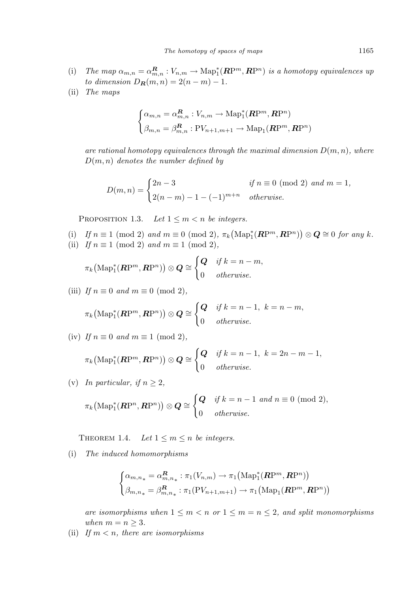- (i) The map  $\alpha_{m,n} = \alpha_{m,n}^R : V_{n,m} \to \text{Map}_1^*(\mathbb{RP}^m, \mathbb{RP}^n)$  is a homotopy equivalences up to dimension  $D_R(m, n) = 2(n - m) - 1$ .
- (ii) The maps

$$
\begin{cases} \alpha_{m,n} = \alpha_{m,n}^{\mathbf{R}} : V_{n,m} \to \text{Map}_1^*(\mathbf{R}\mathrm{P}^m, \mathbf{R}\mathrm{P}^n) \\ \beta_{m,n} = \beta_{m,n}^{\mathbf{R}} : \text{PV}_{n+1,m+1} \to \text{Map}_1(\mathbf{R}\mathrm{P}^m, \mathbf{R}\mathrm{P}^n) \end{cases}
$$

are rational homotopy equivalences through the maximal dimension  $D(m, n)$ , where  $D(m, n)$  denotes the number defined by

$$
D(m, n) = \begin{cases} 2n - 3 & \text{if } n \equiv 0 \pmod{2} \text{ and } m = 1, \\ 2(n - m) - 1 - (-1)^{m+n} & \text{otherwise.} \end{cases}
$$

PROPOSITION 1.3. Let  $1 \leq m < n$  be integers.

(i) If  $n \equiv 1 \pmod{2}$  and  $m \equiv 0 \pmod{2}$ ,  $\pi_k$  $(\text{Map}_1^*(\mathbb{RP}^m, \mathbb{RP}^n)) \otimes \mathbb{Q} \cong 0 \text{ for any } k.$ (ii) If  $n \equiv 1 \pmod{2}$  and  $m \equiv 1 \pmod{2}$ ,

$$
\pi_k\big(\mathrm{Map}^*_1(\mathbf{RP}^m,\mathbf{RP}^n)\big)\otimes\mathbf{Q}\cong\begin{cases}\mathbf{Q} & \text{if } k=n-m, \\ 0 & otherwise.\end{cases}
$$

(iii) If  $n \equiv 0$  and  $m \equiv 0 \pmod{2}$ ,

$$
\pi_k\big(\mathrm{Map}^*_1(\mathbf{R}\mathrm{P}^m,\mathbf{R}\mathrm{P}^n)\big)\otimes\mathbf{Q}\cong\begin{cases}\mathbf{Q} & \text{if } k=n-1, \ k=n-m, \\ 0 & \text{otherwise.}\end{cases}
$$

(iv) If  $n \equiv 0$  and  $m \equiv 1 \pmod{2}$ ,

$$
\pi_k\big(\mathrm{Map}^*_1(\mathbf{R}\mathrm{P}^m,\mathbf{R}\mathrm{P}^n)\big) \otimes \mathbf{Q} \cong \begin{cases} \mathbf{Q} & \text{if } k = n-1, \ k = 2n-m-1, \\ 0 & \text{otherwise.} \end{cases}
$$

(v) In particular, if  $n \geq 2$ ,  $\pi_k$  $\left(\mathrm{Map}^*_1(\mathbf{R}\mathrm{P}^n,\mathbf{R}\mathrm{P}^n)\right)\otimes\mathbf{Q}\cong$  $\overline{a}$  $Q$  if  $k = n - 1$  and  $n \equiv 0 \pmod{2}$ , 0 otherwise.

THEOREM 1.4. Let  $1 \leq m \leq n$  be integers.

(i) The induced homomorphisms

$$
\begin{cases} \alpha_{m,n_{*}} = \alpha_{m,n_{*}}^{R} : \pi_{1}(V_{n,m}) \to \pi_{1}(\mathrm{Map}_{1}^{*}(\mathbf{R}\mathrm{P}^{m}, \mathbf{R}\mathrm{P}^{n})) \\ \beta_{m,n_{*}} = \beta_{m,n_{*}}^{R} : \pi_{1}(\mathrm{P}V_{n+1,m+1}) \to \pi_{1}(\mathrm{Map}_{1}(\mathbf{R}\mathrm{P}^{m}, \mathbf{R}\mathrm{P}^{n})) \end{cases}
$$

are isomorphisms when  $1 \leq m < n$  or  $1 \leq m = n \leq 2$ , and split monomorphisms when  $m = n \geq 3$ .

(ii) If  $m < n$ , there are isomorphisms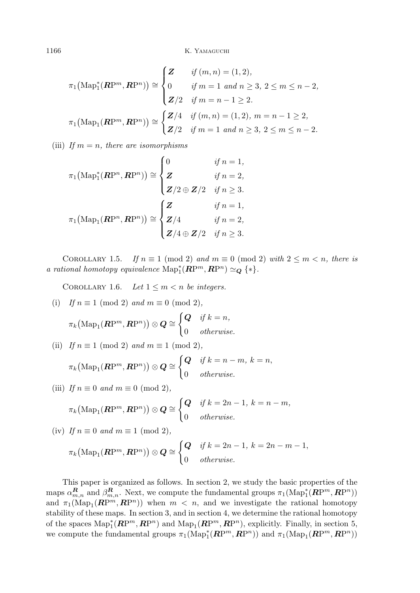1166 K. YAMAGUCHI

$$
\pi_1\big(\text{Map}_1^*(\mathbf{R}P^m, \mathbf{R}P^n)\big) \cong \begin{cases} Z & \text{if } (m, n) = (1, 2), \\ 0 & \text{if } m = 1 \text{ and } n \ge 3, 2 \le m \le n - 2, \\ Z/2 & \text{if } m = n - 1 \ge 2. \end{cases}
$$

$$
\pi_1\big(\text{Map}_1(\mathbf{R}P^m, \mathbf{R}P^n)\big) \cong \begin{cases} Z/4 & \text{if } (m, n) = (1, 2), m = n - 1 \ge 2, \\ Z/2 & \text{if } m = 1 \text{ and } n \ge 3, 2 \le m \le n - 2. \end{cases}
$$

(iii) If  $m = n$ , there are isomorphisms

$$
\pi_1(\text{Map}_1^*(\mathbf{R}\mathrm{P}^n, \mathbf{R}\mathrm{P}^n)) \cong \begin{cases}\n0 & \text{if } n = 1, \\
\mathbf{Z} & \text{if } n = 2, \\
\mathbf{Z}/2 \oplus \mathbf{Z}/2 & \text{if } n \ge 3.\n\end{cases}
$$
\n
$$
\pi_1(\text{Map}_1(\mathbf{R}\mathrm{P}^n, \mathbf{R}\mathrm{P}^n)) \cong \begin{cases}\n\mathbf{Z} & \text{if } n = 1, \\
\mathbf{Z}/4 & \text{if } n = 2, \\
\mathbf{Z}/4 \oplus \mathbf{Z}/2 & \text{if } n \ge 3.\n\end{cases}
$$

COROLLARY 1.5. If  $n \equiv 1 \pmod{2}$  and  $m \equiv 0 \pmod{2}$  with  $2 \leq m \leq n$ , there is a rational homotopy equivalence  $\mathrm{Map}_1^*(\mathbb{RP}^m, \mathbb{RP}^n) \simeq_{\mathbb{Q}} \{*\}.$ 

COROLLARY 1.6. Let  $1 \leq m < n$  be integers.

(i) If 
$$
n \equiv 1 \pmod{2}
$$
 and  $m \equiv 0 \pmod{2}$ ,  
\n
$$
\pi_k(\text{Map}_1(\mathbb{R}\mathrm{P}^m, \mathbb{R}\mathrm{P}^n)) \otimes \mathbb{Q} \cong \begin{cases} \mathbb{Q} & \text{if } k = n, \\ 0 & \text{otherwise.} \end{cases}
$$

(ii) If  $n \equiv 1 \pmod{2}$  and  $m \equiv 1 \pmod{2}$ ,

$$
\pi_k\big(\mathrm{Map}_1(\mathbf{R}\mathrm{P}^m,\mathbf{R}\mathrm{P}^n)\big)\otimes\mathbf{Q}\cong\begin{cases} \mathbf{Q} & \text{if } k=n-m, \ k=n, \\ 0 & \text{otherwise.} \end{cases}
$$

(iii) If 
$$
n \equiv 0
$$
 and  $m \equiv 0 \pmod{2}$ ,

 $\pi_k$ 

$$
(\mathrm{Map}_1(\mathbf{R}\mathrm{P}^m,\mathbf{R}\mathrm{P}^n))\otimes\mathbf{Q}\cong\begin{cases}\mathbf{Q} & \text{if } k=2n-1,\ k=n-m, \\ 0 & \text{otherwise.}\end{cases}
$$

(iv) If 
$$
n \equiv 0
$$
 and  $m \equiv 1 \pmod{2}$ ,  
\n
$$
\pi_k(\text{Map}_1(\mathbb{R}\mathrm{P}^m, \mathbb{R}\mathrm{P}^n)) \otimes \mathbb{Q} \cong \begin{cases} \mathbb{Q} & \text{if } k = 2n - 1, k = 2n - m - 1, \\ 0 & \text{otherwise.} \end{cases}
$$

This paper is organized as follows. In section 2, we study the basic properties of the maps  $\alpha_{m,n}^R$  and  $\beta_{m,n}^R$ . Next, we compute the fundamental groups  $\pi_1(\text{Map}_1^*(\mathbb{RP}^m, \mathbb{RP}^n))$ and  $\pi_1(\text{Map}_1(\mathbb{RP}^m, \mathbb{RP}^n))$  when  $m \leq n$ , and we investigate the rational homotopy stability of these maps. In section 3, and in section 4, we determine the rational homotopy of the spaces  $\text{Map}_1^*(\mathbb{RP}^m, \mathbb{RP}^n)$  and  $\text{Map}_1(\mathbb{RP}^m, \mathbb{RP}^n)$ , explicitly. Finally, in section 5, we compute the fundamental groups  $\pi_1(\mathrm{Map}_1^*(\mathbb{RP}^m,\mathbb{RP}^n))$  and  $\pi_1(\mathrm{Map}_1(\mathbb{RP}^m,\mathbb{RP}^n))$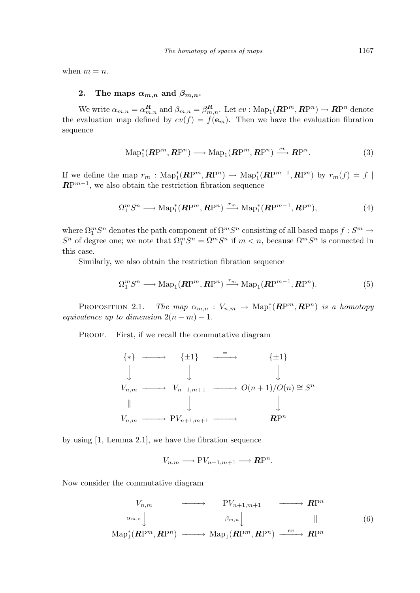when  $m = n$ .

# 2. The maps  $\alpha_{m,n}$  and  $\beta_{m,n}$ .

We write  $\alpha_{m,n} = \alpha_{m,n}^R$  and  $\beta_{m,n} = \beta_{m,n}^R$ . Let  $ev : \text{Map}_1(\mathbb{RP}^m, \mathbb{RP}^n) \to \mathbb{RP}^n$  denote the evaluation map defined by  $ev(f) = f(e_m)$ . Then we have the evaluation fibration sequence

$$
\mathrm{Map}_1^*(\mathbf{R}\mathrm{P}^m, \mathbf{R}\mathrm{P}^n) \longrightarrow \mathrm{Map}_1(\mathbf{R}\mathrm{P}^m, \mathbf{R}\mathrm{P}^n) \stackrel{ev}{\longrightarrow} \mathbf{R}\mathrm{P}^n. \tag{3}
$$

If we define the map  $r_m$ :  $\text{Map}_1^*(\mathbb{RP}^m, \mathbb{RP}^n) \to \text{Map}_1^*(\mathbb{RP}^{m-1}, \mathbb{RP}^n)$  by  $r_m(f) = f$  $\mathbb{RP}^{m-1}$ , we also obtain the restriction fibration sequence

$$
\Omega_1^m S^n \longrightarrow \text{Map}_1^*(\mathbb{RP}^m, \mathbb{RP}^n) \xrightarrow{r_m} \text{Map}_1^*(\mathbb{RP}^{m-1}, \mathbb{RP}^n),\tag{4}
$$

where  $\Omega_1^m S^n$  denotes the path component of  $\Omega^m S^n$  consisting of all based maps  $f: S^m \to$  $S^n$  of degree one; we note that  $\Omega_1^m S^n = \Omega^m S^n$  if  $m < n$ , because  $\Omega^m S^n$  is connected in this case.

Similarly, we also obtain the restriction fibration sequence

$$
\Omega_1^m S^n \longrightarrow \text{Map}_1(\mathbf{R}P^m, \mathbf{R}P^n) \xrightarrow{r_m} \text{Map}_1(\mathbf{R}P^{m-1}, \mathbf{R}P^n). \tag{5}
$$

PROPOSITION 2.1. The map  $\alpha_{m,n} : V_{n,m} \to \text{Map}^*_1(\mathbb{RP}^m, \mathbb{RP}^n)$  is a homotopy equivalence up to dimension  $2(n-m) - 1$ .

PROOF. First, if we recall the commutative diagram



by using [1, Lemma 2.1], we have the fibration sequence

$$
V_{n,m} \longrightarrow \mathrm{P}V_{n+1,m+1} \longrightarrow \mathbf{R}\mathrm{P}^n.
$$

Now consider the commutative diagram

$$
V_{n,m} \longrightarrow PV_{n+1,m+1} \longrightarrow \mathbb{R}\mathbb{P}^n
$$
  
\n
$$
\alpha_{m,n} \downarrow \qquad \beta_{m,n} \downarrow \qquad \qquad \mathbb{H}
$$
  
\n
$$
\text{Map}_1^*(\mathbb{R}\mathbb{P}^m, \mathbb{R}\mathbb{P}^n) \longrightarrow \text{Map}_1(\mathbb{R}\mathbb{P}^m, \mathbb{R}\mathbb{P}^n) \xrightarrow{ev} \mathbb{R}\mathbb{P}^n
$$
  
\n(6)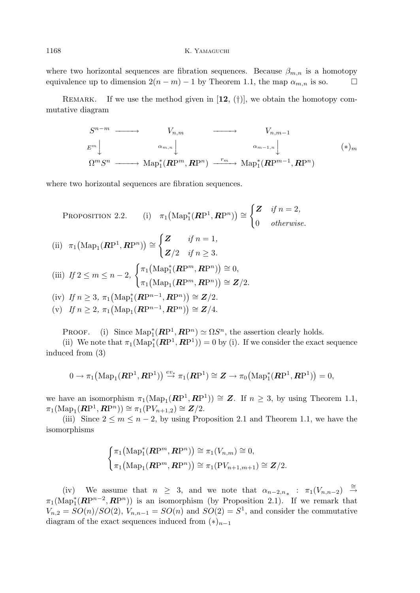### 1168 K. Yamaguchi

where two horizontal sequences are fibration sequences. Because  $\beta_{m,n}$  is a homotopy equivalence up to dimension  $2(n-m)-1$  by Theorem 1.1, the map  $\alpha_{m,n}$  is so.

REMARK. If we use the method given in  $[12, (†)]$ , we obtain the homotopy commutative diagram

$$
S^{n-m} \longrightarrow V_{n,m} \longrightarrow V_{n,m-1}
$$
  
\n
$$
E^m \downarrow \qquad \qquad \alpha_{m,n} \downarrow \qquad \qquad \alpha_{m-1,n} \downarrow \qquad \qquad (\ast)_m
$$
  
\n
$$
\Omega^m S^n \longrightarrow \text{Map}_1^*(\mathbb{RP}^m, \mathbb{RP}^n) \xrightarrow{r_m} \text{Map}_1^*(\mathbb{RP}^{m-1}, \mathbb{RP}^n)
$$

 $2,$ 

where two horizontal sequences are fibration sequences.

PROPOSITION 2.2. (i) 
$$
\pi_1(\text{Map}_1^*(\mathbb{RP}^1, \mathbb{RP}^n)) \cong \begin{cases} Z & \text{if } n = 2, \\ 0 & \text{otherwise.} \end{cases}
$$
  
\n(ii)  $\pi_1(\text{Map}_1(\mathbb{RP}^1, \mathbb{RP}^n)) \cong \begin{cases} Z & \text{if } n = 1, \\ Z/2 & \text{if } n \ge 3. \end{cases}$   
\n(iii) If  $2 \le m \le n - 2$ ,  $\begin{cases} \pi_1(\text{Map}_1^*(\mathbb{RP}^m, \mathbb{RP}^n)) \cong 0, \\ \pi_1(\text{Map}_1(\mathbb{RP}^m, \mathbb{RP}^n)) \cong Z/2. \end{cases}$   
\n(iv) If  $n \ge 3$ ,  $\pi_1(\text{Map}_1^*(\mathbb{RP}^{n-1}, \mathbb{RP}^n)) \cong Z/2$ .  
\n(v) If  $n \ge 2$ ,  $\pi_1(\text{Map}_1(\mathbb{RP}^{n-1}, \mathbb{RP}^n)) \cong Z/4$ .

PROOF. (i) Since  $\text{Map}_1^*(\mathbb{RP}^1, \mathbb{RP}^n) \simeq \Omega S^n$ , the assertion clearly holds.

(ii) We note that  $\pi_1(\text{Map}_1^*(\mathbb{RP}^1, \mathbb{RP}^1)) = 0$  by (i). If we consider the exact sequence induced from (3)

$$
0 \rightarrow \pi_1\big(\mathrm{Map}_1(\mathbf{RP}^1, \mathbf{RP}^1)\big) \stackrel{ev_*}{\longrightarrow} \pi_1(\mathbf{RP}^1) \cong \mathbf{Z} \rightarrow \pi_0\big(\mathrm{Map}_1^*(\mathbf{RP}^1, \mathbf{RP}^1)\big) = 0,
$$

we have an isomorphism  $\pi_1(\text{Map}_1(\mathbb{RP}^1, \mathbb{RP}^1)) \cong \mathbb{Z}$ . If  $n \geq 3$ , by using Theorem 1.1,  $\pi_1(\text{Map}_1(\mathbf{RP}^1, \mathbf{RP}^n)) \cong \pi_1(\text{PV}_{n+1,2}) \cong \mathbf{Z}/2.$ 

(iii) Since  $2 \le m \le n-2$ , by using Proposition 2.1 and Theorem 1.1, we have the isomorphisms

$$
\begin{cases} \pi_1\big(\mathrm{Map}_1^*(\mathbf{R}\mathrm{P}^m,\mathbf{R}\mathrm{P}^n)\big) \cong \pi_1(V_{n,m}) \cong 0, \\ \pi_1\big(\mathrm{Map}_1(\mathbf{R}\mathrm{P}^m,\mathbf{R}\mathrm{P}^n)\big) \cong \pi_1(\mathrm{P}V_{n+1,m+1}) \cong \mathbf{Z}/2. \end{cases}
$$

(iv) We assume that  $n \geq 3$ , and we note that  $\alpha_{n-2,n_*}$  :  $\pi_1(V_{n,n-2}) \stackrel{\cong}{\rightarrow}$  $\pi_1(\text{Map}_1^*(\mathbb{RP}^{n-2}, \mathbb{RP}^n))$  is an isomorphism (by Proposition 2.1). If we remark that  $V_{n,2} = SO(n)/SO(2), V_{n,n-1} = SO(n)$  and  $SO(2) = S<sup>1</sup>$ , and consider the commutative diagram of the exact sequences induced from  $(*)_{n-1}$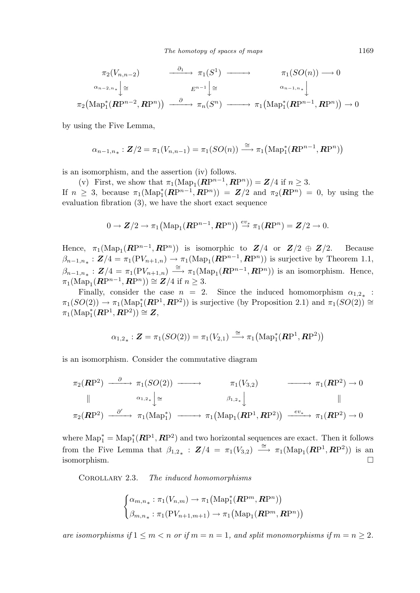$$
\pi_2(V_{n,n-2}) \longrightarrow \pi_1(S^1) \longrightarrow \pi_1(SO(n)) \longrightarrow 0
$$
  
\n
$$
\alpha_{n-2,n_*} \downarrow \cong \qquad E^{n-1} \downarrow \cong \qquad \qquad \alpha_{n-1,n_*} \downarrow
$$
  
\n
$$
\pi_2(Map_1^*(\mathbf{RP}^{n-2}, \mathbf{RP}^n)) \longrightarrow \qquad \beta \longrightarrow \pi_n(S^n) \longrightarrow \pi_1(Map_1^*(\mathbf{RP}^{n-1}, \mathbf{RP}^n)) \longrightarrow 0
$$

by using the Five Lemma,

$$
\alpha_{n-1,n_*}: \mathbf{Z}/2 = \pi_1(V_{n,n-1}) = \pi_1(SO(n)) \stackrel{\cong}{\longrightarrow} \pi_1\big(\mathrm{Map}_1^*(\mathbb{RP}^{n-1}, \mathbb{RP}^n)\big)
$$

is an isomorphism, and the assertion (iv) follows.

(v) First, we show that  $\pi_1(\text{Map}_1(\mathbf{RP}^{n-1}, \mathbf{RP}^n)) = \mathbf{Z}/4$  if  $n \geq 3$ . If  $n \geq 3$ , because  $\pi_1(\text{Map}_1^*(\mathbb{RP}^{n-1}, \mathbb{RP}^n)) = \mathbb{Z}/2$  and  $\pi_2(\mathbb{RP}^n) = 0$ , by using the evaluation fibration (3), we have the short exact sequence

$$
0 \to \mathbf{Z}/2 \to \pi_1\big(\mathrm{Map}_1(\mathbf{R}\mathrm{P}^{n-1}, \mathbf{R}\mathrm{P}^n)\big) \stackrel{ev_*}{\to} \pi_1(\mathbf{R}\mathrm{P}^n) = \mathbf{Z}/2 \to 0.
$$

Hence,  $\pi_1(\text{Map}_1(\mathbb{RP}^{n-1}, \mathbb{RP}^n))$  is isomorphic to  $\mathbb{Z}/4$  or  $\mathbb{Z}/2 \oplus \mathbb{Z}/2$ . Because  $\beta_{n-1,n_*}: \mathbf{Z}/4 = \pi_1(\mathrm{PV}_{n+1,n}) \to \pi_1(\mathrm{Map}_1(\mathbf{RP}^{n-1}, \mathbf{RP}^n))$  is surjective by Theorem 1.1,  $\beta_{n-1,n_*}: \mathbf{Z}/4 = \pi_1(\text{PV}_{n+1,n}) \stackrel{\cong}{\longrightarrow} \pi_1(\text{Map}_1(\mathbf{RP}^{n-1}, \mathbf{RP}^n))$  is an isomorphism. Hence,  $\pi_1(\text{Map}_1(\mathbf{RP}^{n-1}, \mathbf{RP}^n)) \cong \mathbf{Z}/4 \text{ if } n \geq 3.$ 

Finally, consider the case  $n = 2$ . Since the induced homomorphism  $\alpha_{1,2}$  :  $\pi_1(SO(2)) \to \pi_1(\text{Map}_1^*(\mathbb{RP}^1, \mathbb{RP}^2))$  is surjective (by Proposition 2.1) and  $\pi_1(SO(2)) \cong$  $\pi_1(\operatorname{Map}^*_1(\mathbf{RP}^1, \mathbf{RP}^2)) \cong \mathbf{Z},$ 

$$
\alpha_{1,2_{\ast}}:\boldsymbol{Z}=\pi_1(SO(2))=\pi_1(V_{2,1})\stackrel{\cong}{\longrightarrow} \pi_1\big(\mathrm{Map}_1^*(\boldsymbol{R}\mathrm{P}^1,\boldsymbol{R}\mathrm{P}^2)\big)
$$

is an isomorphism. Consider the commutative diagram

$$
\pi_2(\mathbf{RP}^2) \xrightarrow{\partial} \pi_1(SO(2)) \longrightarrow \pi_1(V_{3,2}) \longrightarrow \pi_1(\mathbf{RP}^2) \to 0
$$
\n
$$
\parallel \qquad \qquad \alpha_{1,2*} \downarrow \cong \qquad \qquad \beta_{1,2*} \downarrow \qquad \qquad \parallel
$$
\n
$$
\pi_2(\mathbf{RP}^2) \xrightarrow{\partial'} \pi_1(\text{Map}_1^*) \longrightarrow \pi_1(\text{Map}_1(\mathbf{RP}^1, \mathbf{RP}^2)) \xrightarrow{ev_*} \pi_1(\mathbf{RP}^2) \to 0
$$

where  $\text{Map}_{1}^{*} = \text{Map}_{1}^{*}(RP^{1}, RP^{2})$  and two horizontal sequences are exact. Then it follows from the Five Lemma that  $\beta_{1,2_*}: \mathbf{Z}/4 = \pi_1(V_{3,2}) \stackrel{\cong}{\longrightarrow} \pi_1(\text{Map}_1(\mathbb{RP}^1, \mathbb{RP}^2))$  is an isomorphism.  $\Box$ 

Corollary 2.3. The induced homomorphisms

$$
\begin{cases} \alpha_{m,n_*}: \pi_1(V_{n,m}) \to \pi_1\big(\mathrm{Map}_1^*(\mathbb{R}\mathrm{P}^m,\mathbb{R}\mathrm{P}^n)\big) \\ \beta_{m,n_*}: \pi_1(\mathrm{P}V_{n+1,m+1}) \to \pi_1\big(\mathrm{Map}_1(\mathbb{R}\mathrm{P}^m,\mathbb{R}\mathrm{P}^n)\big) \end{cases}
$$

are isomorphisms if  $1 \leq m < n$  or if  $m = n = 1$ , and split monomorphisms if  $m = n \geq 2$ .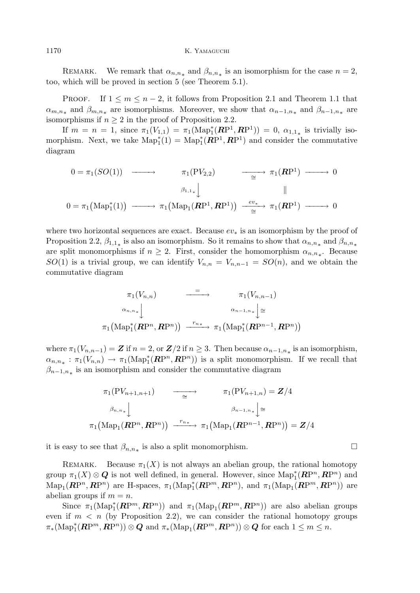1170 K. YAMAGUCHI

REMARK. We remark that  $\alpha_{n,n_*}$  and  $\beta_{n,n_*}$  is an isomorphism for the case  $n=2$ , too, which will be proved in section 5 (see Theorem 5.1).

PROOF. If  $1 \leq m \leq n-2$ , it follows from Proposition 2.1 and Theorem 1.1 that  $\alpha_{m,n_*}$  and  $\beta_{m,n_*}$  are isomorphisms. Moreover, we show that  $\alpha_{n-1,n_*}$  and  $\beta_{n-1,n_*}$  are isomorphisms if  $n \geq 2$  in the proof of Proposition 2.2.

If  $m = n = 1$ , since  $\pi_1(V_{1,1}) = \pi_1(\text{Map}_1^*(\mathbb{RP}^1, \mathbb{RP}^1)) = 0$ ,  $\alpha_{1,1,*}$  is trivially isomorphism. Next, we take  $\text{Map}_{1}^{*}(1) = \text{Map}_{1}^{*}(RP^{1}, RP^{1})$  and consider the commutative diagram

$$
0 = \pi_1(SO(1)) \longrightarrow \pi_1(PV_{2,2}) \longrightarrow \pi_1(\mathbb{RP}^1) \longrightarrow 0
$$
  
\n
$$
\beta_{1,1*} \downarrow \qquad \qquad \parallel
$$
  
\n
$$
0 = \pi_1(\text{Map}_1^*(1)) \longrightarrow \pi_1(\text{Map}_1(\mathbb{RP}^1, \mathbb{RP}^1)) \longrightarrow \pi_1(\mathbb{RP}^1) \longrightarrow 0
$$

where two horizontal sequences are exact. Because  $ev_*$  is an isomorphism by the proof of Proposition 2.2,  $\beta_{1,1}$ <sub>\*</sub> is also an isomorphism. So it remains to show that  $\alpha_{n,n}$ <sub>\*</sub> and  $\beta_{n,n}$ <sub>\*</sub> are split monomorphisms if  $n \geq 2$ . First, consider the homomorphism  $\alpha_{n,n_{*}}$ . Because  $SO(1)$  is a trivial group, we can identify  $V_{n,n} = V_{n,n-1} = SO(n)$ , and we obtain the commutative diagram

$$
\pi_1(V_{n,n}) \longrightarrow \pi_1(V_{n,n-1})
$$
\n
$$
\alpha_{n,n_*} \downarrow \alpha_{n-1,n_*} \downarrow \cong
$$
\n
$$
\pi_1(\text{Map}_1^*(\mathbf{RP}^n, \mathbf{RP}^n)) \xrightarrow{r_{n*}} \pi_1(\text{Map}_1^*(\mathbf{RP}^{n-1}, \mathbf{RP}^n))
$$

where  $\pi_1(V_{n,n-1}) = \mathbf{Z}$  if  $n = 2$ , or  $\mathbf{Z}/2$  if  $n \geq 3$ . Then because  $\alpha_{n-1,n_*}$  is an isomorphism,  $\alpha_{n,n_{*}} : \pi_1(V_{n,n}) \to \pi_1(\text{Map}_1^*(\mathbb{RP}^n, \mathbb{RP}^n))$  is a split monomorphism. If we recall that  $\beta_{n-1,n_*}$  is an isomorphism and consider the commutative diagram

$$
\pi_1(PV_{n+1,n+1}) \longrightarrow \pi_1(PV_{n+1,n}) = \mathbf{Z}/4
$$

$$
\beta_{n,n_*} \downarrow \beta_{n-1,n_*} \downarrow \cong
$$

$$
\pi_1(Map_1(\mathbf{RP}^n, \mathbf{RP}^n)) \xrightarrow{r_{n_*}} \pi_1(Map_1(\mathbf{RP}^{n-1}, \mathbf{RP}^n)) = \mathbf{Z}/4
$$

it is easy to see that  $\beta_{n,n_*}$  is also a split monomorphism.  $\Box$ 

REMARK. Because  $\pi_1(X)$  is not always an abelian group, the rational homotopy group  $\pi_1(X) \otimes \mathbf{Q}$  is not well defined, in general. However, since  $\mathrm{Map}_1^*(\mathbb{RP}^n, \mathbb{RP}^n)$  and  $\text{Map}_1(\mathbb{RP}^n, \mathbb{RP}^n)$  are H-spaces,  $\pi_1(\text{Map}_1^*(\mathbb{RP}^m, \mathbb{RP}^n)$ , and  $\pi_1(\text{Map}_1(\mathbb{RP}^m, \mathbb{RP}^n))$  are abelian groups if  $m = n$ .

Since  $\pi_1(\text{Map}_1^*(\mathbb{RP}^m, \mathbb{RP}^n))$  and  $\pi_1(\text{Map}_1(\mathbb{RP}^m, \mathbb{RP}^n))$  are also abelian groups even if  $m < n$  (by Proposition 2.2), we can consider the rational homotopy groups  $\pi_*(\mathrm{Map}_1^*(\mathbb{RP}^m, \mathbb{RP}^n)) \otimes \mathbb{Q}$  and  $\pi_*(\mathrm{Map}_1(\mathbb{RP}^m, \mathbb{RP}^n)) \otimes \mathbb{Q}$  for each  $1 \leq m \leq n$ .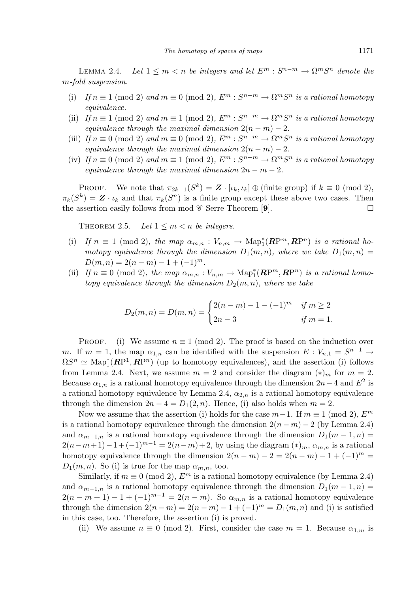LEMMA 2.4. Let  $1 \leq m < n$  be integers and let  $E^m : S^{n-m} \to \Omega^m S^n$  denote the m-fold suspension.

- (i) If  $n \equiv 1 \pmod{2}$  and  $m \equiv 0 \pmod{2}$ ,  $E^m : S^{n-m} \to \Omega^m S^n$  is a rational homotopy equivalence.
- (ii) If  $n \equiv 1 \pmod{2}$  and  $m \equiv 1 \pmod{2}$ ,  $E^m : S^{n-m} \to \Omega^m S^n$  is a rational homotopy equivalence through the maximal dimension  $2(n - m) - 2$ .
- (iii) If  $n \equiv 0 \pmod{2}$  and  $m \equiv 0 \pmod{2}$ ,  $E^m : S^{n-m} \to \Omega^m S^n$  is a rational homotopy equivalence through the maximal dimension  $2(n-m) - 2$ .
- (iv) If  $n \equiv 0 \pmod{2}$  and  $m \equiv 1 \pmod{2}$ ,  $E^m : S^{n-m} \to \Omega^m S^n$  is a rational homotopy equivalence through the maximal dimension  $2n - m - 2$ .

**PROOF.** We note that  $\pi_{2k-1}(S^k) = \mathbf{Z} \cdot [\iota_k, \iota_k] \oplus (\text{finite group})$  if  $k \equiv 0 \pmod{2}$ ,  $\pi_k(S^k) = \mathbf{Z} \cdot \iota_k$  and that  $\pi_k(S^n)$  is a finite group except these above two cases. Then the assertion easily follows from mod  $\mathscr C$  Serre Theorem [9].

THEOREM 2.5. Let  $1 \leq m \leq n$  be integers.

- (i) If  $n \equiv 1 \pmod{2}$ , the map  $\alpha_{m,n} : V_{n,m} \to \text{Map}_1^*(\mathbb{RP}^m, \mathbb{RP}^n)$  is a rational homotopy equivalence through the dimension  $D_1(m, n)$ , where we take  $D_1(m, n)$  $D(m, n) = 2(n - m) - 1 + (-1)^m$ .
- (ii) If  $n \equiv 0 \pmod{2}$ , the map  $\alpha_{m,n}: V_{n,m} \to \text{Map}_1^*(\mathbb{RP}^m, \mathbb{RP}^n)$  is a rational homotopy equivalence through the dimension  $D_2(m, n)$ , where we take

$$
D_2(m, n) = D(m, n) = \begin{cases} 2(n-m) - 1 - (-1)^m & \text{if } m \ge 2 \\ 2n - 3 & \text{if } m = 1. \end{cases}
$$

PROOF. (i) We assume  $n \equiv 1 \pmod{2}$ . The proof is based on the induction over m. If  $m = 1$ , the map  $\alpha_{1,n}$  can be identified with the suspension  $E: V_{n,1} = S^{n-1} \rightarrow$  $\Omega S^n \simeq \text{Map}_1^*(\mathbb{RP}^1, \mathbb{RP}^n)$  (up to homotopy equivalences), and the assertion (i) follows from Lemma 2.4. Next, we assume  $m = 2$  and consider the diagram  $(*)_m$  for  $m = 2$ . Because  $\alpha_{1,n}$  is a rational homotopy equivalence through the dimension  $2n-4$  and  $E^2$  is a rational homotopy equivalence by Lemma 2.4,  $\alpha_{2,n}$  is a rational homotopy equivalence through the dimension  $2n - 4 = D_1(2, n)$ . Hence, (i) also holds when  $m = 2$ .

Now we assume that the assertion (i) holds for the case  $m-1$ . If  $m \equiv 1 \pmod{2}$ ,  $E^m$ is a rational homotopy equivalence through the dimension  $2(n - m) - 2$  (by Lemma 2.4) and  $\alpha_{m-1,n}$  is a rational homotopy equivalence through the dimension  $D_1(m-1,n)$  =  $2(n-m+1)-1+(-1)^{m-1}=2(n-m)+2$ , by using the diagram  $(*)_m$ ,  $\alpha_{m,n}$  is a rational homotopy equivalence through the dimension  $2(n-m)-2=2(n-m)-1+(-1)^m=$  $D_1(m, n)$ . So (i) is true for the map  $\alpha_{m,n}$ , too.

Similarly, if  $m \equiv 0 \pmod{2}$ ,  $E^m$  is a rational homotopy equivalence (by Lemma 2.4) and  $\alpha_{m-1,n}$  is a rational homotopy equivalence through the dimension  $D_1(m-1,n)$  =  $2(n-m+1)-1+(-1)^{m-1}=2(n-m)$ . So  $\alpha_{m,n}$  is a rational homotopy equivalence through the dimension  $2(n-m) = 2(n-m) - 1 + (-1)^m = D_1(m,n)$  and (i) is satisfied in this case, too. Therefore, the assertion (i) is proved.

(ii) We assume  $n \equiv 0 \pmod{2}$ . First, consider the case  $m = 1$ . Because  $\alpha_{1,m}$  is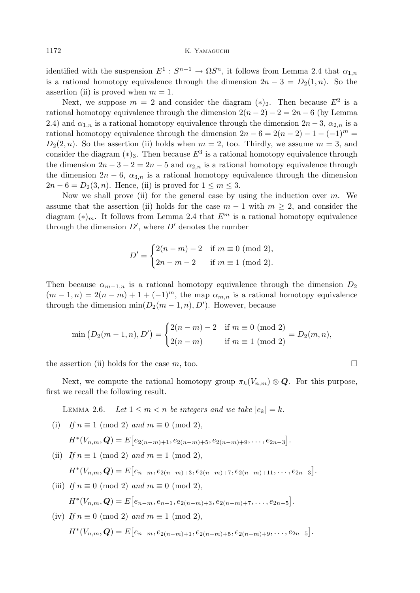identified with the suspension  $E^1: S^{n-1} \to \Omega S^n$ , it follows from Lemma 2.4 that  $\alpha_{1,n}$ is a rational homotopy equivalence through the dimension  $2n-3 = D_2(1, n)$ . So the assertion (ii) is proved when  $m = 1$ .

Next, we suppose  $m = 2$  and consider the diagram  $(*)_2$ . Then because  $E^2$  is a rational homotopy equivalence through the dimension  $2(n-2) - 2 = 2n - 6$  (by Lemma 2.4) and  $\alpha_{1,n}$  is a rational homotopy equivalence through the dimension  $2n-3$ ,  $\alpha_{2,n}$  is a rational homotopy equivalence through the dimension  $2n - 6 = 2(n - 2) - 1 - (-1)^m$  $D_2(2, n)$ . So the assertion (ii) holds when  $m = 2$ , too. Thirdly, we assume  $m = 3$ , and consider the diagram  $(*)_3$ . Then because  $E^3$  is a rational homotopy equivalence through the dimension  $2n-3-2=2n-5$  and  $\alpha_{2,n}$  is a rational homotopy equivalence through the dimension  $2n - 6$ ,  $\alpha_{3,n}$  is a rational homotopy equivalence through the dimension  $2n-6=D_2(3,n)$ . Hence, (ii) is proved for  $1\leq m\leq 3$ .

Now we shall prove (ii) for the general case by using the induction over  $m$ . We assume that the assertion (ii) holds for the case  $m-1$  with  $m \geq 2$ , and consider the diagram  $(*)_m$ . It follows from Lemma 2.4 that  $E^m$  is a rational homotopy equivalence through the dimension  $D'$ , where  $D'$  denotes the number

$$
D' = \begin{cases} 2(n-m) - 2 & \text{if } m \equiv 0 \pmod{2}, \\ 2n - m - 2 & \text{if } m \equiv 1 \pmod{2}. \end{cases}
$$

Then because  $\alpha_{m-1,n}$  is a rational homotopy equivalence through the dimension  $D_2$  $(m-1,n) = 2(n-m) + 1 + (-1)^m$ , the map  $\alpha_{m,n}$  is a rational homotopy equivalence through the dimension  $\min(D_2(m-1,n), D')$ . However, because

$$
\min (D_2(m-1,n), D') = \begin{cases} 2(n-m) - 2 & \text{if } m \equiv 0 \pmod{2} \\ 2(n-m) & \text{if } m \equiv 1 \pmod{2} \end{cases} = D_2(m,n),
$$

the assertion (ii) holds for the case m, too.  $\Box$ 

Next, we compute the rational homotopy group  $\pi_k(V_{n,m}) \otimes \mathbf{Q}$ . For this purpose, first we recall the following result.

LEMMA 2.6. Let  $1 \leq m < n$  be integers and we take  $|e_k| = k$ .

(i) If 
$$
n \equiv 1 \pmod{2}
$$
 and  $m \equiv 0 \pmod{2}$ ,

$$
H^*(V_{n,m}, \mathbf{Q}) = E[e_{2(n-m)+1}, e_{2(n-m)+5}, e_{2(n-m)+9}, \dots, e_{2n-3}].
$$

(ii) If  $n \equiv 1 \pmod{2}$  and  $m \equiv 1 \pmod{2}$ ,

$$
H^*(V_{n,m}, \mathbf{Q}) = E[e_{n-m}, e_{2(n-m)+3}, e_{2(n-m)+7}, e_{2(n-m)+11}, \dots, e_{2n-3}].
$$

(iii) If  $n \equiv 0 \pmod{2}$  and  $m \equiv 0 \pmod{2}$ , £

$$
H^*(V_{n,m}, \mathbf{Q}) = E[e_{n-m}, e_{n-1}, e_{2(n-m)+3}, e_{2(n-m)+7}, \dots, e_{2n-5}].
$$

(iv) If 
$$
n \equiv 0 \pmod{2}
$$
 and  $m \equiv 1 \pmod{2}$ ,  
\n
$$
H^*(V_{n,m}, \mathbf{Q}) = E[e_{n-m}, e_{2(n-m)+1}, e_{2(n-m)+5}, e_{2(n-m)+9}, \dots, e_{2n-5}].
$$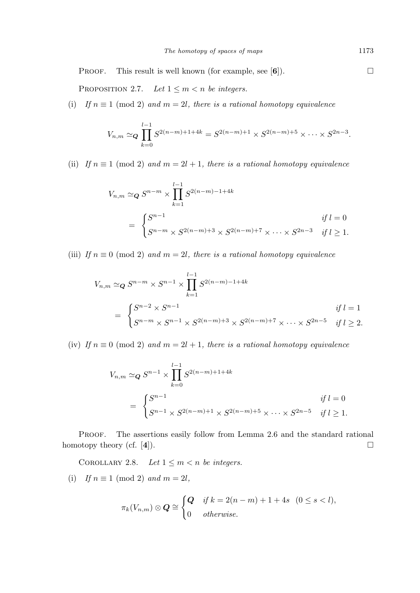**PROOF.** This result is well known (for example, see  $[6]$ ).

PROPOSITION 2.7. Let  $1 \leq m < n$  be integers.

(i) If  $n \equiv 1 \pmod{2}$  and  $m = 2l$ , there is a rational homotopy equivalence

$$
V_{n,m} \simeq_{\mathbf{Q}} \prod_{k=0}^{l-1} S^{2(n-m)+1+4k} = S^{2(n-m)+1} \times S^{2(n-m)+5} \times \cdots \times S^{2n-3}.
$$

(ii) If  $n \equiv 1 \pmod{2}$  and  $m = 2l + 1$ , there is a rational homotopy equivalence

$$
V_{n,m} \simeq_{\mathbf{Q}} S^{n-m} \times \prod_{k=1}^{l-1} S^{2(n-m)-1+4k}
$$
  
= 
$$
\begin{cases} S^{n-1} & \text{if } l=0\\ S^{n-m} \times S^{2(n-m)+3} \times S^{2(n-m)+7} \times \cdots \times S^{2n-3} & \text{if } l \ge 1. \end{cases}
$$

(iii) If  $n \equiv 0 \pmod{2}$  and  $m = 2l$ , there is a rational homotopy equivalence

$$
V_{n,m} \simeq_{\mathbf{Q}} S^{n-m} \times S^{n-1} \times \prod_{k=1}^{l-1} S^{2(n-m)-1+4k}
$$
  
= 
$$
\begin{cases} S^{n-2} \times S^{n-1} & \text{if } l=1\\ S^{n-m} \times S^{n-1} \times S^{2(n-m)+3} \times S^{2(n-m)+7} \times \cdots \times S^{2n-5} & \text{if } l \ge 2. \end{cases}
$$

(iv) If  $n \equiv 0 \pmod{2}$  and  $m = 2l + 1$ , there is a rational homotopy equivalence

$$
V_{n,m} \simeq_{\mathbf{Q}} S^{n-1} \times \prod_{k=0}^{l-1} S^{2(n-m)+1+4k}
$$
  
= 
$$
\begin{cases} S^{n-1} & \text{if } l=0\\ S^{n-1} \times S^{2(n-m)+1} \times S^{2(n-m)+5} \times \cdots \times S^{2n-5} & \text{if } l \ge 1. \end{cases}
$$

PROOF. The assertions easily follow from Lemma 2.6 and the standard rational homotopy theory (cf. [4]).  $\Box$ 

COROLLARY 2.8. Let  $1 \leq m < n$  be integers.

(i) If  $n \equiv 1 \pmod{2}$  and  $m = 2l$ ,

$$
\pi_k(V_{n,m}) \otimes \mathbf{Q} \cong \begin{cases} \mathbf{Q} & \text{if } k = 2(n-m) + 1 + 4s \quad (0 \le s < l), \\ 0 & \text{otherwise.} \end{cases}
$$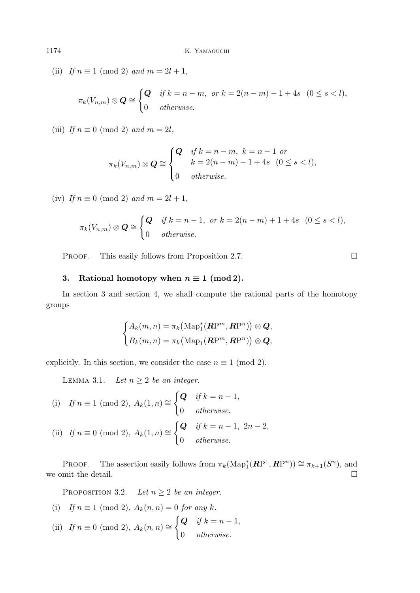(ii) If  $n \equiv 1 \pmod{2}$  and  $m = 2l + 1$ ,

$$
\pi_k(V_{n,m}) \otimes \mathbf{Q} \cong \begin{cases} \mathbf{Q} & \text{if } k = n-m, \text{ or } k = 2(n-m) - 1 + 4s \ (0 \le s < l), \\ 0 & \text{otherwise.} \end{cases}
$$

(iii) If  $n \equiv 0 \pmod{2}$  and  $m = 2l$ ,

$$
\pi_k(V_{n,m}) \otimes \mathbf{Q} \cong \begin{cases} \mathbf{Q} & \text{if } k = n-m, \ k = n-1 \ \text{or} \\ & k = 2(n-m) - 1 + 4s \ (0 \le s < l), \\ 0 & \text{otherwise.} \end{cases}
$$

(iv) If  $n \equiv 0 \pmod{2}$  and  $m = 2l + 1$ ,

$$
\pi_k(V_{n,m}) \otimes \mathbf{Q} \cong \begin{cases} \mathbf{Q} & \text{if } k = n-1, \text{ or } k = 2(n-m) + 1 + 4s \ (0 \le s < l), \\ 0 & \text{otherwise.} \end{cases}
$$

PROOF. This easily follows from Proposition 2.7.  $\Box$ 

## 3. Rational homotopy when  $n \equiv 1 \pmod{2}$ .

In section 3 and section 4, we shall compute the rational parts of the homotopy groups

$$
\begin{cases} A_k(m,n) = \pi_k\big(\mathrm{Map}_1^*(\mathbf{R}\mathrm{P}^m,\mathbf{R}\mathrm{P}^n)\big) \otimes \mathbf{Q}, \\ B_k(m,n) = \pi_k\big(\mathrm{Map}_1(\mathbf{R}\mathrm{P}^m,\mathbf{R}\mathrm{P}^n)\big) \otimes \mathbf{Q}, \end{cases}
$$

explicitly. In this section, we consider the case  $n \equiv 1 \pmod{2}$ .

LEMMA 3.1. Let  $n \geq 2$  be an integer.

(i) If 
$$
n \equiv 1 \pmod{2}
$$
,  $A_k(1, n) \cong \begin{cases} Q & \text{if } k = n - 1, \\ 0 & \text{otherwise.} \end{cases}$ 

(ii) If 
$$
n \equiv 0 \pmod{2}
$$
,  $A_k(1, n) \cong \begin{cases} Q & \text{if } k = n - 1, 2n - 2, \\ 0 & \text{otherwise.} \end{cases}$ 

PROOF. The assertion easily follows from  $\pi_k(\text{Map}_1^*(\mathbb{RP}^1, \mathbb{RP}^n)) \cong \pi_{k+1}(S^n)$ , and we omit the detail.  $\Box$ 

PROPOSITION 3.2. Let  $n \geq 2$  be an integer.

(i) If 
$$
n \equiv 1 \pmod{2}
$$
,  $A_k(n, n) = 0$  for any k.  
\n(ii) If  $n \equiv 0 \pmod{2}$ ,  $A_k(n, n) \cong \begin{cases} Q & \text{if } k = n - 1, \\ 0 & \text{otherwise.} \end{cases}$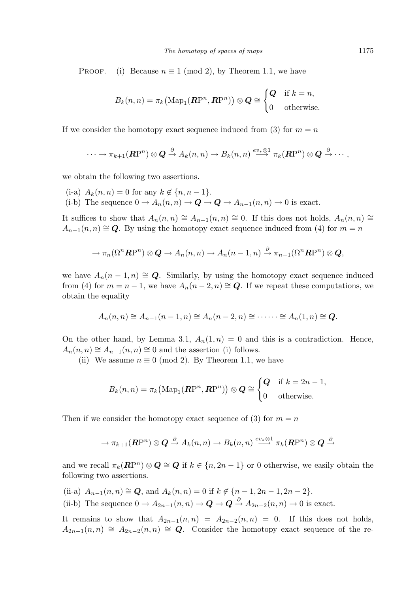PROOF. (i) Because  $n \equiv 1 \pmod{2}$ , by Theorem 1.1, we have

$$
B_k(n, n) = \pi_k(\text{Map}_1(\mathbf{RP}^n, \mathbf{RP}^n)) \otimes \mathbf{Q} \cong \begin{cases} \mathbf{Q} & \text{if } k = n, \\ 0 & \text{otherwise.} \end{cases}
$$

If we consider the homotopy exact sequence induced from (3) for  $m = n$ 

$$
\cdots \to \pi_{k+1}(\mathbb{R}\mathrm{P}^n) \otimes \mathbb{Q} \xrightarrow{\partial} A_k(n,n) \to B_k(n,n) \xrightarrow{ev_* \otimes 1} \pi_k(\mathbb{R}\mathrm{P}^n) \otimes \mathbb{Q} \xrightarrow{\partial} \cdots,
$$

we obtain the following two assertions.

- (i-a)  $A_k(n, n) = 0$  for any  $k \notin \{n, n-1\}.$
- (i-b) The sequence  $0 \to A_n(n,n) \to \mathbf{Q} \to \mathbf{Q} \to A_{n-1}(n,n) \to 0$  is exact.

It suffices to show that  $A_n(n,n) \cong A_{n-1}(n,n) \cong 0$ . If this does not holds,  $A_n(n,n) \cong$  $A_{n-1}(n, n) \cong \mathbf{Q}$ . By using the homotopy exact sequence induced from (4) for  $m = n$ 

$$
\to \pi_n(\Omega^n \mathbb{R}P^n) \otimes \mathbf{Q} \to A_n(n,n) \to A_n(n-1,n) \xrightarrow{\partial} \pi_{n-1}(\Omega^n \mathbb{R}P^n) \otimes \mathbf{Q},
$$

we have  $A_n(n-1,n) \cong \mathbb{Q}$ . Similarly, by using the homotopy exact sequence induced from (4) for  $m = n - 1$ , we have  $A_n(n-2,n) \cong Q$ . If we repeat these computations, we obtain the equality

$$
A_n(n,n) \cong A_{n-1}(n-1,n) \cong A_n(n-2,n) \cong \cdots \cdots \cong A_n(1,n) \cong Q.
$$

On the other hand, by Lemma 3.1,  $A_n(1,n) = 0$  and this is a contradiction. Hence,  $A_n(n,n) \cong A_{n-1}(n,n) \cong 0$  and the assertion (i) follows.

(ii) We assume  $n \equiv 0 \pmod{2}$ . By Theorem 1.1, we have

$$
B_k(n, n) = \pi_k\big(\text{Map}_1(\mathbf{R}\mathrm{P}^n, \mathbf{R}\mathrm{P}^n)\big) \otimes \mathbf{Q} \cong \begin{cases} \mathbf{Q} & \text{if } k = 2n - 1, \\ 0 & \text{otherwise.} \end{cases}
$$

Then if we consider the homotopy exact sequence of (3) for  $m = n$ 

$$
\rightarrow \pi_{k+1}(\mathbf{R}\mathrm{P}^n) \otimes \mathbf{Q} \xrightarrow{\partial} A_k(n,n) \rightarrow B_k(n,n) \xrightarrow{ev_* \otimes 1} \pi_k(\mathbf{R}\mathrm{P}^n) \otimes \mathbf{Q} \xrightarrow{\partial}
$$

and we recall  $\pi_k(\mathbf{R}P^n) \otimes \mathbf{Q} \cong \mathbf{Q}$  if  $k \in \{n, 2n-1\}$  or 0 otherwise, we easily obtain the following two assertions.

- (ii-a)  $A_{n-1}(n, n) \cong \mathbf{Q}$ , and  $A_k(n, n) = 0$  if  $k \notin \{n-1, 2n-1, 2n-2\}.$
- (ii-b) The sequence  $0 \to A_{2n-1}(n,n) \to \mathbf{Q} \to \mathbf{Q} \stackrel{\partial}{\to} A_{2n-2}(n,n) \to 0$  is exact.

It remains to show that  $A_{2n-1}(n, n) = A_{2n-2}(n, n) = 0$ . If this does not holds,  $A_{2n-1}(n, n) \cong A_{2n-2}(n, n) \cong Q$ . Consider the homotopy exact sequence of the re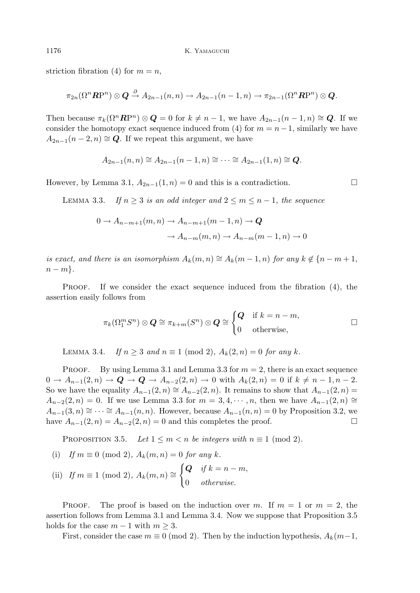striction fibration (4) for  $m = n$ ,

$$
\pi_{2n}(\Omega^n\mathbf{R}\mathrm{P}^n) \otimes \mathbf{Q} \xrightarrow{\partial} A_{2n-1}(n,n) \to A_{2n-1}(n-1,n) \to \pi_{2n-1}(\Omega^n\mathbf{R}\mathrm{P}^n) \otimes \mathbf{Q}.
$$

Then because  $\pi_k(\Omega^n \mathbb{R}P^n) \otimes \mathbb{Q} = 0$  for  $k \neq n-1$ , we have  $A_{2n-1}(n-1,n) \cong \mathbb{Q}$ . If we consider the homotopy exact sequence induced from (4) for  $m = n - 1$ , similarly we have  $A_{2n-1}(n-2,n) \cong \mathbf{Q}$ . If we repeat this argument, we have

$$
A_{2n-1}(n, n) \cong A_{2n-1}(n-1, n) \cong \cdots \cong A_{2n-1}(1, n) \cong Q.
$$

However, by Lemma 3.1,  $A_{2n-1}(1, n) = 0$  and this is a contradiction.  $\Box$ 

LEMMA 3.3. If  $n > 3$  is an odd integer and  $2 \leq m \leq n-1$ , the sequence

$$
0 \to A_{n-m+1}(m,n) \to A_{n-m+1}(m-1,n) \to \mathbf{Q}
$$

$$
\to A_{n-m}(m,n) \to A_{n-m}(m-1,n) \to 0
$$

is exact, and there is an isomorphism  $A_k(m, n) \cong A_k(m-1, n)$  for any  $k \notin \{n-m+1,$  $n - m$ .

**PROOF.** If we consider the exact sequence induced from the fibration  $(4)$ , the assertion easily follows from

$$
\pi_k(\Omega_1^m S^n) \otimes \mathbf{Q} \cong \pi_{k+m}(S^n) \otimes \mathbf{Q} \cong \begin{cases} \mathbf{Q} & \text{if } k = n-m, \\ 0 & \text{otherwise,} \end{cases} \square
$$

LEMMA 3.4. If  $n \geq 3$  and  $n \equiv 1 \pmod{2}$ ,  $A_k(2, n) = 0$  for any k.

**PROOF.** By using Lemma 3.1 and Lemma 3.3 for  $m = 2$ , there is an exact sequence  $0 \to A_{n-1}(2, n) \to \mathbf{Q} \to \mathbf{Q} \to A_{n-2}(2, n) \to 0$  with  $A_k(2, n) = 0$  if  $k \neq n-1, n-2$ . So we have the equality  $A_{n-1}(2, n) \cong A_{n-2}(2, n)$ . It remains to show that  $A_{n-1}(2, n) =$  $A_{n-2}(2, n) = 0$ . If we use Lemma 3.3 for  $m = 3, 4, \cdots, n$ , then we have  $A_{n-1}(2, n) \cong$  $A_{n-1}(3, n) \cong \cdots \cong A_{n-1}(n, n)$ . However, because  $A_{n-1}(n, n) = 0$  by Proposition 3.2, we have  $A_{n-1}(2, n) = A_{n-2}(2, n) = 0$  and this completes the proof.

PROPOSITION 3.5. Let  $1 \leq m < n$  be integers with  $n \equiv 1 \pmod{2}$ .

(i) If 
$$
m \equiv 0 \pmod{2}
$$
,  $A_k(m, n) = 0$  for any k.  
\n(ii) If  $m \equiv 1 \pmod{2}$ ,  $A_k(m, n) \cong \begin{cases} Q & \text{if } k = n - m, \\ 0 & \text{otherwise.} \end{cases}$ 

**PROOF.** The proof is based on the induction over m. If  $m = 1$  or  $m = 2$ , the assertion follows from Lemma 3.1 and Lemma 3.4. Now we suppose that Proposition 3.5 holds for the case  $m - 1$  with  $m \geq 3$ .

First, consider the case  $m \equiv 0 \pmod{2}$ . Then by the induction hypothesis,  $A_k(m-1,$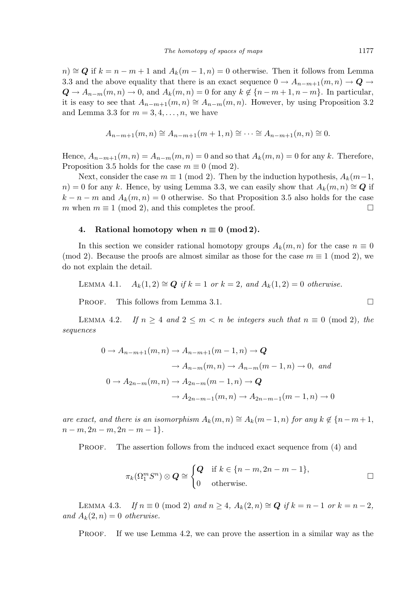$n \ge Q$  if  $k = n - m + 1$  and  $A_k(m - 1, n) = 0$  otherwise. Then it follows from Lemma 3.3 and the above equality that there is an exact sequence  $0 \to A_{n-m+1}(m,n) \to \mathbf{Q} \to$  $Q \to A_{n-m}(m,n) \to 0$ , and  $A_k(m,n) = 0$  for any  $k \notin \{n-m+1, n-m\}$ . In particular, it is easy to see that  $A_{n-m+1}(m, n) \cong A_{n-m}(m, n)$ . However, by using Proposition 3.2 and Lemma 3.3 for  $m = 3, 4, \ldots, n$ , we have

$$
A_{n-m+1}(m, n) \cong A_{n-m+1}(m+1, n) \cong \cdots \cong A_{n-m+1}(n, n) \cong 0.
$$

Hence,  $A_{n-m+1}(m, n) = A_{n-m}(m, n) = 0$  and so that  $A_k(m, n) = 0$  for any k. Therefore, Proposition 3.5 holds for the case  $m \equiv 0 \pmod{2}$ .

Next, consider the case  $m \equiv 1 \pmod{2}$ . Then by the induction hypothesis,  $A_k(m-1,$  $n = 0$  for any k. Hence, by using Lemma 3.3, we can easily show that  $A_k(m, n) \cong \mathbb{Q}$  if  $k - n - m$  and  $A_k(m, n) = 0$  otherwise. So that Proposition 3.5 also holds for the case m when  $m \equiv 1 \pmod{2}$ , and this completes the proof.  $\Box$ 

## 4. Rational homotopy when  $n \equiv 0 \pmod{2}$ .

In this section we consider rational homotopy groups  $A_k(m, n)$  for the case  $n \equiv 0$ (mod 2). Because the proofs are almost similar as those for the case  $m \equiv 1 \pmod{2}$ , we do not explain the detail.

LEMMA 4.1.  $A_k(1, 2) \cong Q$  if  $k = 1$  or  $k = 2$ , and  $A_k(1, 2) = 0$  otherwise.

PROOF. This follows from Lemma 3.1.

LEMMA 4.2. If  $n \geq 4$  and  $2 \leq m < n$  be integers such that  $n \equiv 0 \pmod{2}$ , the sequences

$$
0 \to A_{n-m+1}(m,n) \to A_{n-m+1}(m-1,n) \to \mathbf{Q}
$$
  
\n
$$
\to A_{n-m}(m,n) \to A_{n-m}(m-1,n) \to 0, \text{ and}
$$
  
\n
$$
0 \to A_{2n-m}(m,n) \to A_{2n-m}(m-1,n) \to \mathbf{Q}
$$
  
\n
$$
\to A_{2n-m-1}(m,n) \to A_{2n-m-1}(m-1,n) \to 0
$$

are exact, and there is an isomorphism  $A_k(m, n) \cong A_k(m-1, n)$  for any  $k \notin \{n-m+1,$  $n-m, 2n-m, 2n-m-1$ .

PROOF. The assertion follows from the induced exact sequence from (4) and

$$
\pi_k(\Omega_1^m S^n) \otimes \mathbf{Q} \cong \begin{cases} \mathbf{Q} & \text{if } k \in \{n-m, 2n-m-1\}, \\ 0 & \text{otherwise.} \end{cases} \square
$$

LEMMA 4.3. If  $n \equiv 0 \pmod{2}$  and  $n \ge 4$ ,  $A_k(2, n) \cong Q$  if  $k = n - 1$  or  $k = n - 2$ , and  $A_k(2, n) = 0$  otherwise.

PROOF. If we use Lemma 4.2, we can prove the assertion in a similar way as the

$$
\Box
$$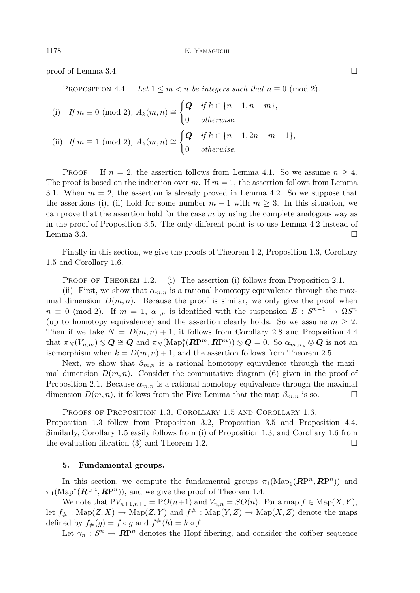proof of Lemma 3.4.  $\Box$ 

PROPOSITION 4.4. Let  $1 \leq m < n$  be integers such that  $n \equiv 0 \pmod{2}$ .

(i) If 
$$
m \equiv 0 \pmod{2}
$$
,  $A_k(m, n) \cong \begin{cases} Q & \text{if } k \in \{n-1, n-m\}, \\ 0 & \text{otherwise.} \end{cases}$   
\n(ii) If  $m \equiv 1 \pmod{2}$ ,  $A_k(m, n) \cong \begin{cases} Q & \text{if } k \in \{n-1, 2n-m-1\}, \\ 0 & \text{otherwise.} \end{cases}$ 

PROOF. If  $n = 2$ , the assertion follows from Lemma 4.1. So we assume  $n \geq 4$ . The proof is based on the induction over m. If  $m = 1$ , the assertion follows from Lemma 3.1. When  $m = 2$ , the assertion is already proved in Lemma 4.2. So we suppose that the assertions (i), (ii) hold for some number  $m-1$  with  $m \geq 3$ . In this situation, we can prove that the assertion hold for the case  $m$  by using the complete analogous way as in the proof of Proposition 3.5. The only different point is to use Lemma 4.2 instead of Lemma 3.3.  $\Box$ 

Finally in this section, we give the proofs of Theorem 1.2, Proposition 1.3, Corollary 1.5 and Corollary 1.6.

PROOF OF THEOREM 1.2. (i) The assertion (i) follows from Proposition 2.1.

(ii) First, we show that  $\alpha_{m,n}$  is a rational homotopy equivalence through the maximal dimension  $D(m, n)$ . Because the proof is similar, we only give the proof when  $n \equiv 0 \pmod{2}$ . If  $m = 1$ ,  $\alpha_{1,n}$  is identified with the suspension  $E: S^{n-1} \to \Omega S^n$ (up to homotopy equivalence) and the assertion clearly holds. So we assume  $m \geq 2$ . Then if we take  $N = D(m, n) + 1$ , it follows from Corollary 2.8 and Proposition 4.4 that  $\pi_N(V_{n,m})\otimes \mathbf{Q}\cong \mathbf{Q}$  and  $\pi_N(\mathrm{Map}_1^*(\mathbf{R}\mathrm{P}^m,\mathbf{R}\mathrm{P}^n))\otimes \mathbf{Q}=0$ . So  $\alpha_{m,n_*}\otimes \mathbf{Q}$  is not an isomorphism when  $k = D(m, n) + 1$ , and the assertion follows from Theorem 2.5.

Next, we show that  $\beta_{m,n}$  is a rational homotopy equivalence through the maximal dimension  $D(m, n)$ . Consider the commutative diagram (6) given in the proof of Proposition 2.1. Because  $\alpha_{m,n}$  is a rational homotopy equivalence through the maximal dimension  $D(m, n)$ , it follows from the Five Lemma that the map  $\beta_{m,n}$  is so.

PROOFS OF PROPOSITION 1.3, COROLLARY 1.5 AND COROLLARY 1.6. Proposition 1.3 follow from Proposition 3.2, Proposition 3.5 and Proposition 4.4. Similarly, Corollary 1.5 easily follows from (i) of Proposition 1.3, and Corollary 1.6 from the evaluation fibration (3) and Theorem 1.2.  $\Box$ 

## 5. Fundamental groups.

In this section, we compute the fundamental groups  $\pi_1(\text{Map}_1(\mathbb{RP}^n, \mathbb{RP}^n))$  and  $\pi_1(\mathrm{Map}_1^*(\mathbb{RP}^n, \mathbb{RP}^n)),$  and we give the proof of Theorem 1.4.

We note that  $PV_{n+1,n+1} = PO(n+1)$  and  $V_{n,n} = SO(n)$ . For a map  $f \in \text{Map}(X, Y)$ , let  $f_{\#}: \text{Map}(Z, X) \to \text{Map}(Z, Y)$  and  $f^{\#}: \text{Map}(Y, Z) \to \text{Map}(X, Z)$  denote the maps defined by  $f_{\#}(g) = f \circ g$  and  $f^{\#}(h) = h \circ f$ .

Let  $\gamma_n: S^n \to \mathbb{R}P^n$  denotes the Hopf fibering, and consider the cofiber sequence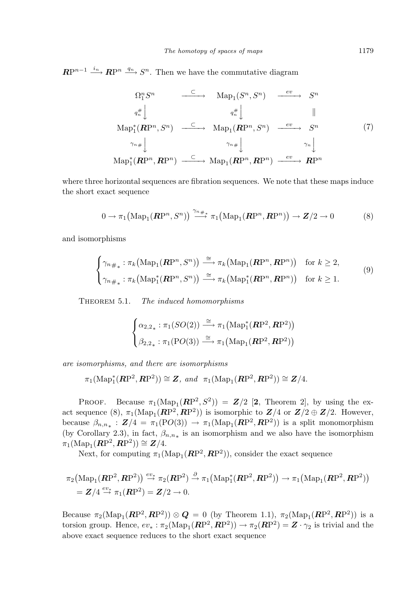$\mathbb{RP}^{n-1} \xrightarrow{i_n} \mathbb{RP}^n \xrightarrow{q_n} S^n$ . Then we have the commutative diagram

$$
\Omega_1^n S^n \xrightarrow{\subset} \text{Map}_1(S^n, S^n) \xrightarrow{ev} S^n
$$
\n
$$
q_n^{\#} \downarrow \qquad \qquad q_n^{\#} \downarrow \qquad \qquad \parallel
$$
\n
$$
\text{Map}_1^*(\mathbf{RP}^n, S^n) \xrightarrow{\subset} \text{Map}_1(\mathbf{RP}^n, S^n) \xrightarrow{ev} S^n
$$
\n
$$
\gamma_{n\#} \downarrow \qquad \qquad \gamma_n \downarrow
$$
\n
$$
\text{Map}_1^*(\mathbf{RP}^n, \mathbf{RP}^n) \xrightarrow{\subset} \text{Map}_1(\mathbf{RP}^n, \mathbf{RP}^n) \xrightarrow{ev} \mathbf{RP}^n
$$
\n
$$
(7)
$$

where three horizontal sequences are fibration sequences. We note that these maps induce the short exact sequence

$$
0 \to \pi_1\big(\mathrm{Map}_1(\mathbf{RP}^n, S^n)\big) \stackrel{\gamma_{n\#}}{\longrightarrow} \pi_1\big(\mathrm{Map}_1(\mathbf{RP}^n, \mathbf{RP}^n)\big) \to \mathbf{Z}/2 \to 0
$$
 (8)

and isomorphisms

$$
\begin{cases}\n\gamma_{n\#_{*}} : \pi_{k}(\text{Map}_{1}(\mathbf{R}\mathbf{P}^{n}, S^{n})) \xrightarrow{\cong} \pi_{k}(\text{Map}_{1}(\mathbf{R}\mathbf{P}^{n}, \mathbf{R}\mathbf{P}^{n})) \quad \text{for } k \geq 2, \\
\gamma_{n\#_{*}} : \pi_{k}(\text{Map}_{1}^{*}(\mathbf{R}\mathbf{P}^{n}, S^{n})) \xrightarrow{\cong} \pi_{k}(\text{Map}_{1}^{*}(\mathbf{R}\mathbf{P}^{n}, \mathbf{R}\mathbf{P}^{n})) \quad \text{for } k \geq 1.\n\end{cases}
$$
\n(9)

THEOREM 5.1. The induced homomorphisms

$$
\begin{cases} \alpha_{2,2_{*}} : \pi_{1}(SO(2)) \stackrel{\cong}{\longrightarrow} \pi_{1}(\text{Map}_{1}^{*}(\mathbf{RP}^{2}, \mathbf{RP}^{2})) \\ \beta_{2,2_{*}} : \pi_{1}(\text{PO}(3)) \stackrel{\cong}{\longrightarrow} \pi_{1}(\text{Map}_{1}(\mathbf{RP}^{2}, \mathbf{RP}^{2})) \end{cases}
$$

are isomorphisms, and there are isomorphisms

$$
\pi_1(\text{Map}_1^*(\mathbf{RP}^2,\mathbf{RP}^2)) \cong \mathbf{Z}, \text{ and } \pi_1(\text{Map}_1(\mathbf{RP}^2,\mathbf{RP}^2)) \cong \mathbf{Z}/4.
$$

PROOF. Because  $\pi_1(\text{Map}_1(\mathbf{RP}^2, S^2)) = \mathbf{Z}/2$  [2, Theorem 2], by using the exact sequence (8),  $\pi_1(\text{Map}_1(\mathbb{RP}^2, \mathbb{RP}^2))$  is isomorphic to  $\mathbb{Z}/4$  or  $\mathbb{Z}/2 \oplus \mathbb{Z}/2$ . However, because  $\beta_{n,n_*}: \mathbf{Z}/4 = \pi_1(\text{PO}(3)) \to \pi_1(\text{Map}_1(\mathbf{RP}^2, \mathbf{RP}^2))$  is a split monomorphism (by Corollary 2.3), in fact,  $\beta_{n,n_*}$  is an isomorphism and we also have the isomorphism  $\pi_1(\text{Map}_1(\mathbf{RP}^2, \mathbf{RP}^2)) \cong \mathbf{Z}/4.$ 

Next, for computing  $\pi_1(\text{Map}_1(\mathbb{RP}^2, \mathbb{RP}^2))$ , consider the exact sequence

$$
\pi_2\big(\mathrm{Map}_1(\mathbf{RP}^2,\mathbf{RP}^2)\big) \stackrel{ev_*}{\rightarrow} \pi_2(\mathbf{RP}^2) \stackrel{\partial}{\rightarrow} \pi_1\big(\mathrm{Map}_1^*(\mathbf{RP}^2,\mathbf{RP}^2)\big) \rightarrow \pi_1\big(\mathrm{Map}_1(\mathbf{RP}^2,\mathbf{RP}^2)\big) = \mathbf{Z}/4 \stackrel{ev_*}{\rightarrow} \pi_1(\mathbf{RP}^2) = \mathbf{Z}/2 \rightarrow 0.
$$

Because  $\pi_2(\text{Map}_1(\mathbf{RP}^2, \mathbf{RP}^2)) \otimes \mathbf{Q} = 0$  (by Theorem 1.1),  $\pi_2(\text{Map}_1(\mathbf{RP}^2, \mathbf{RP}^2))$  is a torsion group. Hence,  $ev_* : \pi_2(\text{Map}_1(\mathbb{RP}^2, \mathbb{RP}^2)) \to \pi_2(\mathbb{RP}^2) = \mathbb{Z} \cdot \gamma_2$  is trivial and the above exact sequence reduces to the short exact sequence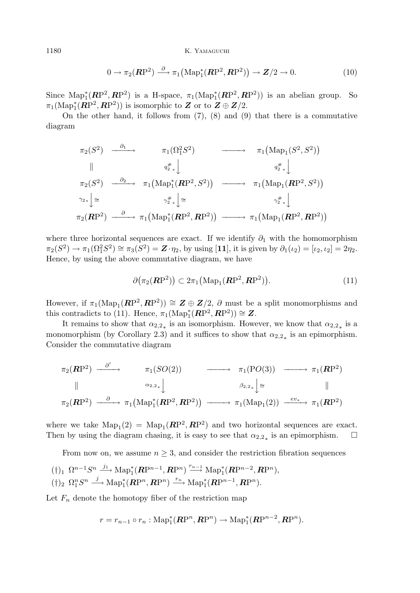1180 K. YAMAGUCHI

$$
0 \to \pi_2(\mathbf{RP}^2) \stackrel{\partial}{\longrightarrow} \pi_1\big(\mathrm{Map}_1^*(\mathbf{RP}^2, \mathbf{RP}^2)\big) \to \mathbf{Z}/2 \to 0. \tag{10}
$$

Since  $\text{Map}_1^*(\mathbb{RP}^2, \mathbb{RP}^2)$  is a H-space,  $\pi_1(\text{Map}_1^*(\mathbb{RP}^2, \mathbb{RP}^2))$  is an abelian group. So  $\pi_1(\mathrm{Map}_1^*(\mathbb{RP}^2, \mathbb{RP}^2))$  is isomorphic to  $\mathbb Z$  or to  $\mathbb Z \oplus \mathbb Z/2$ .

On the other hand, it follows from  $(7)$ ,  $(8)$  and  $(9)$  that there is a commutative diagram

$$
\pi_2(S^2) \xrightarrow{\partial_1} \pi_1(\Omega_1^2 S^2) \longrightarrow \pi_1(\text{Map}_1(S^2, S^2))
$$
\n
$$
\parallel \pi_2(S^2) \xrightarrow{\partial_2} \pi_1(\text{Map}_1^*(\mathbb{RP}^2, S^2)) \longrightarrow \pi_1(\text{Map}_1(\mathbb{RP}^2, S^2))
$$
\n
$$
\gamma_{2*} \downarrow \cong \gamma_{2*}^* \downarrow \cong \gamma_{2*}^* \downarrow
$$
\n
$$
\pi_2(\mathbb{RP}^2) \xrightarrow{\partial_2} \pi_1(\text{Map}_1^*(\mathbb{RP}^2, \mathbb{RP}^2)) \longrightarrow \pi_1(\text{Map}_1(\mathbb{RP}^2, \mathbb{RP}^2))
$$

where three horizontal sequences are exact. If we identify  $\partial_1$  with the homomorphism  $\pi_2(S^2) \to \pi_1(\Omega_1^2 S^2) \cong \pi_3(S^2) = \mathbf{Z} \cdot \eta_2$ , by using [11], it is given by  $\partial_1(\iota_2) = [\iota_2, \iota_2] = 2\eta_2$ . Hence, by using the above commutative diagram, we have

$$
\partial \big(\pi_2(\mathbf{RP}^2)\big) \subset 2\pi_1\big(\mathrm{Map}_1(\mathbf{RP}^2,\mathbf{RP}^2)\big). \tag{11}
$$

However, if  $\pi_1(\text{Map}_1(\mathbb{RP}^2, \mathbb{RP}^2)) \cong \mathbb{Z} \oplus \mathbb{Z}/2$ ,  $\partial$  must be a split monomorphisms and this contradicts to (11). Hence,  $\pi_1(\text{Map}_1^*(\mathbb{RP}^2, \mathbb{RP}^2)) \cong \mathbb{Z}$ .

It remains to show that  $\alpha_{2,2}$  is an isomorphism. However, we know that  $\alpha_{2,2}$  is a monomorphism (by Corollary 2.3) and it suffices to show that  $\alpha_{2,2}$  is an epimorphism. Consider the commutative diagram

$$
\pi_2(\mathbf{RP}^2) \xrightarrow{\partial'} \pi_1(SO(2)) \longrightarrow \pi_1(PO(3)) \longrightarrow \pi_1(\mathbf{RP}^2)
$$
\n
$$
\parallel \qquad \qquad \alpha_{2,2_*} \downarrow \qquad \qquad \beta_{2,2_*} \downarrow \cong \qquad \qquad \parallel
$$
\n
$$
\pi_2(\mathbf{RP}^2) \xrightarrow{\partial} \pi_1(\text{Map}_1^*(\mathbf{RP}^2, \mathbf{RP}^2)) \longrightarrow \pi_1(\text{Map}_1(2)) \xrightarrow{ev_*} \pi_1(\mathbf{RP}^2)
$$

where we take  $\text{Map}_1(2) = \text{Map}_1(\mathbb{RP}^2, \mathbb{RP}^2)$  and two horizontal sequences are exact. Then by using the diagram chasing, it is easy to see that  $\alpha_{2,2}$  is an epimorphism.  $\Box$ 

From now on, we assume  $n \geq 3$ , and consider the restriction fibration sequences

$$
(\dagger)_1 \ \Omega^{n-1} S^n \xrightarrow{j_1} \mathrm{Map}_1^*(\mathbf{R}P^{n-1}, \mathbf{R}P^n) \xrightarrow{r_{n-1}} \mathrm{Map}_1^*(\mathbf{R}P^{n-2}, \mathbf{R}P^n), (\dagger)_2 \ \Omega_1^n S^n \xrightarrow{j} \mathrm{Map}_1^*(\mathbf{R}P^n, \mathbf{R}P^n) \xrightarrow{r_n} \mathrm{Map}_1^*(\mathbf{R}P^{n-1}, \mathbf{R}P^n).
$$

Let  $F_n$  denote the homotopy fiber of the restriction map

$$
r = r_{n-1} \circ r_n : \mathrm{Map}_1^*(\mathbb{RP}^n, \mathbb{RP}^n) \to \mathrm{Map}_1^*(\mathbb{RP}^{n-2}, \mathbb{RP}^n).
$$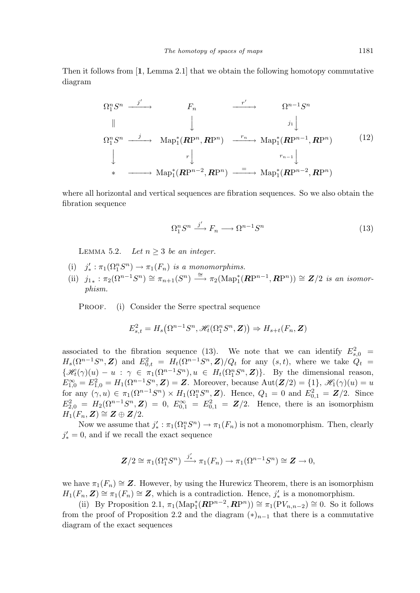Then it follows from [1, Lemma 2.1] that we obtain the following homotopy commutative diagram

$$
\Omega_1^n S^n \xrightarrow{j' \longrightarrow} F_n \xrightarrow{r' \longrightarrow} \Omega^{n-1} S^n
$$
\n
$$
\parallel \qquad \qquad \downarrow \qquad \qquad \downarrow \qquad \qquad \downarrow
$$
\n
$$
\Omega_1^n S^n \xrightarrow{j \longrightarrow} \text{Map}_1^*(\mathbb{RP}^n, \mathbb{RP}^n) \xrightarrow{r_n} \text{Map}_1^*(\mathbb{RP}^{n-1}, \mathbb{RP}^n) \qquad (12)
$$
\n
$$
\downarrow \qquad \qquad \downarrow \qquad \qquad \downarrow
$$
\n
$$
\downarrow \qquad \qquad \downarrow \qquad \qquad \downarrow
$$
\n
$$
\downarrow \qquad \qquad \downarrow
$$
\n
$$
\downarrow \qquad \qquad \downarrow
$$
\n
$$
\downarrow \qquad \qquad \downarrow
$$
\n
$$
\downarrow \qquad \qquad \downarrow
$$
\n
$$
\downarrow \qquad \qquad \downarrow
$$
\n
$$
\downarrow \qquad \qquad \downarrow
$$
\n
$$
\downarrow \qquad \qquad \downarrow
$$
\n
$$
\downarrow \qquad \qquad \downarrow
$$
\n
$$
\downarrow \qquad \qquad \downarrow
$$
\n
$$
\downarrow \qquad \qquad \downarrow
$$
\n
$$
\downarrow \qquad \qquad \downarrow
$$
\n
$$
\downarrow \qquad \qquad \downarrow
$$
\n
$$
\downarrow \qquad \qquad \downarrow
$$
\n
$$
\downarrow \qquad \qquad \downarrow
$$
\n
$$
\downarrow \qquad \qquad \downarrow
$$
\n
$$
\downarrow \qquad \qquad \downarrow
$$
\n
$$
\downarrow \qquad \qquad \downarrow
$$
\n
$$
\downarrow \qquad \qquad \downarrow
$$
\n
$$
\downarrow \qquad \qquad \downarrow
$$
\n
$$
\downarrow \qquad \qquad \downarrow
$$
\n
$$
\downarrow \qquad \qquad \downarrow
$$
\n
$$
\downarrow \qquad \qquad \downarrow
$$
\n
$$
\downarrow \qquad \qquad \downarrow
$$
\n
$$
\downarrow \qquad \qquad \downarrow
$$
\n
$$
\downarrow \qquad \qquad \downarrow
$$
\n
$$
\downarrow
$$

where all horizontal and vertical sequences are fibration sequences. So we also obtain the fibration sequence

$$
\Omega_1^n S^n \xrightarrow{j'} F_n \longrightarrow \Omega^{n-1} S^n \tag{13}
$$

LEMMA 5.2. Let  $n > 3$  be an integer.

- (i)  $j'_{*} : \pi_1(\Omega_1^n S^n) \to \pi_1(F_n)$  is a monomorphims.
- (ii)  $j_{1*}: \pi_2(\Omega^{n-1}S^n) \cong \pi_{n+1}(S^n) \stackrel{\cong}{\longrightarrow} \pi_2(\text{Map}^*_1(\mathbb{RP}^{n-1}, \mathbb{RP}^n)) \cong \mathbb{Z}/2$  is an isomorphism.

PROOF. (i) Consider the Serre spectral sequence

$$
E_{s,t}^{2} = H_{s}(\Omega^{n-1}S^{n}, \mathscr{H}_{t}(\Omega_{1}^{n}S^{n}, \mathbf{Z})) \Rightarrow H_{s+t}(F_{n}, \mathbf{Z})
$$

associated to the fibration sequence (13). We note that we can identify  $E_{s,0}^{2}$  =  $H_s(\Omega^{n-1}S^n, \mathbf{Z})$  and  $E_{0,t}^2 = H_t(\Omega^{n-1}S^n, \mathbf{Z})/Q_t$  for any  $(s, t)$ , where we take  $Q_t =$  $\{\mathscr{H}_t(\gamma)(u) - u : \gamma \in \pi_1(\Omega^{n-1}S^n), u \in H_t(\Omega^n_1S^n, \mathbb{Z})\}.$  By the dimensional reason,  $E_{1,0}^{\infty} = E_{1,0}^{2} = H_{1}(\Omega^{n-1}S^{n}, \mathbf{Z}) = \mathbf{Z}$ . Moreover, because  $\text{Aut}(\mathbf{Z}/2) = \{1\}, \mathscr{H}_{1}(\gamma)(u) = u$ for any  $(\gamma, u) \in \pi_1(\Omega^{n-1}S^n) \times H_1(\Omega^n_1S^n, \mathbf{Z})$ . Hence,  $Q_1 = 0$  and  $E_{0,1}^2 = \mathbf{Z}/2$ . Since  $E_{2,0}^2 = H_2(\Omega^{n-1}S^n, \mathbf{Z}) = 0, E_{0,1}^{\infty} = E_{0,1}^2 = \mathbf{Z}/2.$  Hence, there is an isomorphism  $H_1(F_n, \mathbf{Z}) \cong \mathbf{Z} \oplus \mathbf{Z}/2.$ 

Now we assume that  $j'_{*} : \pi_1(\Omega_1^n S^n) \to \pi_1(F_n)$  is not a monomorphism. Then, clearly  $j'_{*} = 0$ , and if we recall the exact sequence

$$
\mathbf{Z}/2 \cong \pi_1(\Omega_1^n S^n) \xrightarrow{j'_*} \pi_1(F_n) \to \pi_1(\Omega^{n-1} S^n) \cong \mathbf{Z} \to 0,
$$

we have  $\pi_1(F_n) \cong \mathbb{Z}$ . However, by using the Hurewicz Theorem, there is an isomorphism  $H_1(F_n, \mathbf{Z}) \cong \pi_1(F_n) \cong \mathbf{Z}$ , which is a contradiction. Hence,  $j'_{*}$  is a monomorphism.

(ii) By Proposition 2.1,  $\pi_1(\text{Map}_1^*(\mathbb{RP}^{n-2}, \mathbb{RP}^n)) \cong \pi_1(\text{PV}_{n,n-2}) \cong 0$ . So it follows from the proof of Proposition 2.2 and the diagram  $(*)_{n-1}$  that there is a commutative diagram of the exact sequences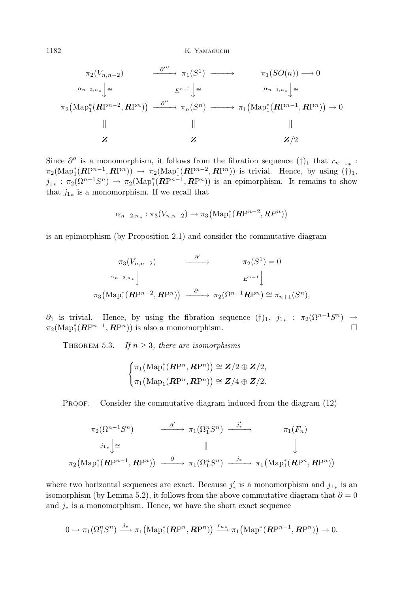1182 K. Yamaguchi

$$
\pi_2(V_{n,n-2}) \longrightarrow \pi_1(S^1) \longrightarrow \pi_1(SO(n)) \longrightarrow 0
$$
  
\n
$$
\alpha_{n-2,n_*} \downarrow \cong \qquad E^{n-1} \downarrow \cong \qquad \qquad \alpha_{n-1,n_*} \downarrow \cong
$$
  
\n
$$
\pi_2(\text{Map}_1^*(\mathbf{RP}^{n-2}, \mathbf{RP}^n)) \longrightarrow \overset{\partial''}{\longrightarrow} \pi_n(S^n) \longrightarrow \pi_1(\text{Map}_1^*(\mathbf{RP}^{n-1}, \mathbf{RP}^n)) \longrightarrow 0
$$
  
\n
$$
\parallel \qquad \qquad \parallel \qquad \qquad \parallel
$$
  
\n
$$
\mathbf{Z} \qquad \mathbf{Z} \qquad \mathbf{Z}/2
$$

Since  $\partial''$  is a monomorphism, it follows from the fibration sequence  $(\dagger)_1$  that  $r_{n-1*}$ :  $\pi_2(\text{Map}_1^*(\mathbb{RP}^{n-1}, \mathbb{RP}^n)) \to \pi_2(\text{Map}_1^*(\mathbb{RP}^{n-2}, \mathbb{RP}^n))$  is trivial. Hence, by using  $(\dagger)_1$ ,  $j_{1*}: \pi_2(\Omega^{n-1}S^n) \to \pi_2(\text{Map}_1^*(\mathbb{RP}^{n-1},\mathbb{RP}^n))$  is an epimorphism. It remains to show that  $j_{1*}$  is a monomorphism. If we recall that

$$
\alpha_{n-2,n_*}: \pi_3(V_{n,n-2}) \to \pi_3\big(\mathrm{Map}^*_1(\mathbb{RP}^{n-2}, \mathbb{RP}^n)\big)
$$

is an epimorphism (by Proposition 2.1) and consider the commutative diagram

$$
\pi_3(V_{n,n-2}) \longrightarrow \pi_2(S^1) = 0
$$
  

$$
\alpha_{n-2,n_*} \downarrow \qquad E^{n-1} \downarrow
$$
  

$$
\pi_3(\text{Map}_1^*(\mathbf{RP}^{n-2}, \mathbf{RP}^n)) \longrightarrow \pi_2(\Omega^{n-1}\mathbf{RP}^n) \cong \pi_{n+1}(S^n),
$$

 $\partial_1$  is trivial. Hence, by using the fibration sequence  $(\dagger)_1$ ,  $j_{1*}$ :  $\pi_2(\Omega^{n-1}S^n)$  →  $\pi_2(\text{Map}_1^*(\mathbb{RP}^{n-1}, \mathbb{RP}^n))$  is also a monomorphism.

THEOREM 5.3. If  $n \geq 3$ , there are isomorphisms

$$
\begin{cases} \pi_1\big(\mathrm{Map}_1^*(\mathbf{R}\mathrm{P}^n,\mathbf{R}\mathrm{P}^n)\big) \cong \mathbf{Z}/2 \oplus \mathbf{Z}/2, \\ \pi_1\big(\mathrm{Map}_1(\mathbf{R}\mathrm{P}^n,\mathbf{R}\mathrm{P}^n)\big) \cong \mathbf{Z}/4 \oplus \mathbf{Z}/2. \end{cases}
$$

PROOF. Consider the commutative diagram induced from the diagram  $(12)$ 

$$
\pi_2(\Omega^{n-1}S^n) \longrightarrow \pi_1(\Omega_1^nS^n) \xrightarrow{j'}
$$
\n
$$
\pi_1(F_n)
$$
\n
$$
\downarrow \pi_2(\text{Map}_1^*(\mathbf{RP}^{n-1}, \mathbf{RP}^n)) \xrightarrow{\partial} \pi_1(\Omega_1^nS^n) \xrightarrow{j_*} \pi_1(\text{Map}_1^*(\mathbf{RP}^n, \mathbf{RP}^n))
$$

where two horizontal sequences are exact. Because  $j'_{*}$  is a monomorphism and  $j_{1*}$  is an isomorphism (by Lemma 5.2), it follows from the above commutative diagram that  $\partial = 0$ and  $j_*$  is a monomorphism. Hence, we have the short exact sequence

$$
0 \to \pi_1(\Omega_1^n S^n) \xrightarrow{j_*} \pi_1(\mathrm{Map}_1^*(\mathbf{RP}^n, \mathbf{RP}^n)) \xrightarrow{r_{n*}} \pi_1(\mathrm{Map}_1^*(\mathbf{RP}^{n-1}, \mathbf{RP}^n)) \to 0.
$$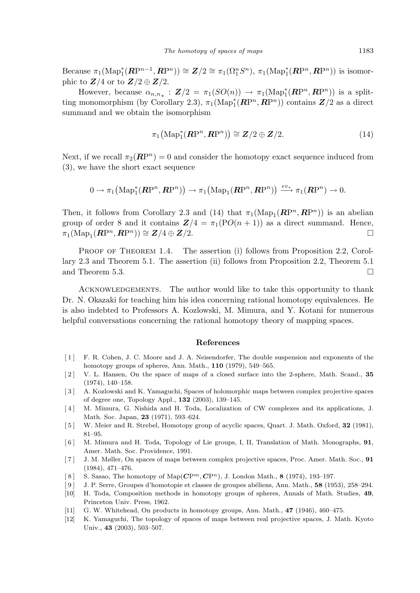Because  $\pi_1(\text{Map}_1^*(\mathbb{RP}^{n-1}, \mathbb{RP}^n)) \cong \mathbb{Z}/2 \cong \pi_1(\Omega_1^n S^n), \pi_1(\text{Map}_1^*(\mathbb{RP}^n, \mathbb{RP}^n))$  is isomorphic to  $\mathbf{Z}/4$  or to  $\mathbf{Z}/2 \oplus \mathbf{Z}/2$ .

However, because  $\alpha_{n,n_*}: \mathbf{Z}/2 = \pi_1(SO(n)) \to \pi_1(\text{Map}_1^*(\mathbb{RP}^n, \mathbb{RP}^n))$  is a splitting monomorphism (by Corollary 2.3),  $\pi_1(\text{Map}_1^*(\mathbb{RP}^n, \mathbb{RP}^n))$  contains  $\mathbb{Z}/2$  as a direct summand and we obtain the isomorphism

$$
\pi_1\big(\mathrm{Map}^*_1(\mathbf{RP}^n, \mathbf{RP}^n)\big) \cong \mathbf{Z}/2 \oplus \mathbf{Z}/2. \tag{14}
$$

Next, if we recall  $\pi_2(\mathbf{R}P^n) = 0$  and consider the homotopy exact sequence induced from (3), we have the short exact sequence

$$
0 \to \pi_1\big(\mathrm{Map}^*_1(\mathbf{RP}^n, \mathbf{RP}^n)\big) \to \pi_1\big(\mathrm{Map}_1(\mathbf{RP}^n, \mathbf{RP}^n)\big) \xrightarrow{ev_*} \pi_1(\mathbf{RP}^n) \to 0.
$$

Then, it follows from Corollary 2.3 and (14) that  $\pi_1(\text{Map}_1(\mathbf{RP}^n, \mathbf{RP}^n))$  is an abelian group of order 8 and it contains  $\mathbf{Z}/4 = \pi_1(\text{PO}(n+1))$  as a direct summand. Hence,  $\pi_1(\text{Map}_1(\mathbb{R}\mathrm{P}^n, \mathbb{R}\mathrm{P}^n)) \cong \mathbb{Z}/4 \oplus \mathbb{Z}/2.$ 

PROOF OF THEOREM 1.4. The assertion (i) follows from Proposition 2.2, Corollary 2.3 and Theorem 5.1. The assertion (ii) follows from Proposition 2.2, Theorem 5.1 and Theorem 5.3.  $\Box$ 

ACKNOWLEDGEMENTS. The author would like to take this opportunity to thank Dr. N. Okazaki for teaching him his idea concerning rational homotopy equivalences. He is also indebted to Professors A. Kozlowski, M. Mimura, and Y. Kotani for numerous helpful conversations concerning the rational homotopy theory of mapping spaces.

#### References

- [ 1 ] F. R. Cohen, J. C. Moore and J. A. Neisendorfer, The double suspension and exponents of the homotopy groups of spheres, Ann. Math., 110 (1979), 549–565.
- [ 2 ] V. L. Hansen, On the space of maps of a closed surface into the 2-sphere, Math. Scand., 35 (1974), 140–158.
- [ 3 ] A. Kozlowski and K. Yamaguchi, Spaces of holomorphic maps between complex projective spaces of degree one, Topology Appl., 132 (2003), 139–145.
- [4] M. Mimura, G. Nishida and H. Toda, Localization of CW complexes and its applications, J. Math. Soc. Japan, 23 (1971), 593–624.
- [5] W. Meier and R. Strebel, Homotopy group of acyclic spaces, Quart. J. Math. Oxford, 32 (1981), 81–95.
- [ 6 ] M. Mimura and H. Toda, Topology of Lie groups, I, II, Translation of Math. Monographs, 91, Amer. Math. Soc. Providence, 1991.
- [7] J. M. Møller, On spaces of maps between complex projective spaces, Proc. Amer. Math. Soc., 91 (1984), 471–476.
- [8] S. Sasao, The homotopy of  $\mathrm{Map}(\mathbb{C}P^m, \mathbb{C}P^n)$ , J. London Math., 8 (1974), 193–197.
- [9] J. P. Serre, Groupes d'homotopie et classes de groupes abéliens, Ann. Math., 58 (1953), 258–294.
- [10] H. Toda, Composition methods in homotopy groups of spheres, Annals of Math. Studies, 49, Princeton Univ. Press, 1962.
- [11] G. W. Whitehead, On products in homotopy groups, Ann. Math., 47 (1946), 460-475.
- [12] K. Yamaguchi, The topology of spaces of maps between real projective spaces, J. Math. Kyoto Univ., 43 (2003), 503–507.